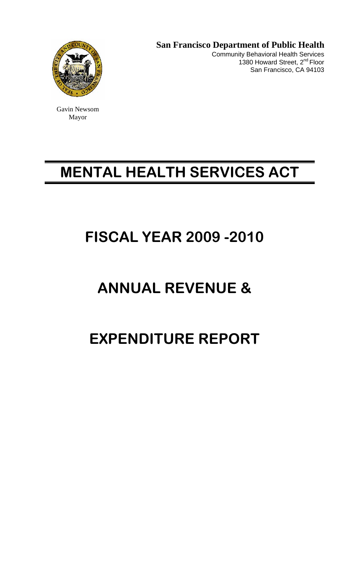

Gavin Newsom Mayor

 **San Francisco Department of Public Health**  Community Behavioral Health Services 1380 Howard Street, 2<sup>nd</sup> Floor San Francisco, CA 94103

# **MENTAL HEALTH SERVICES ACT**

# **FISCAL YEAR 2009 -2010**

# **ANNUAL REVENUE &**

# **EXPENDITURE REPORT**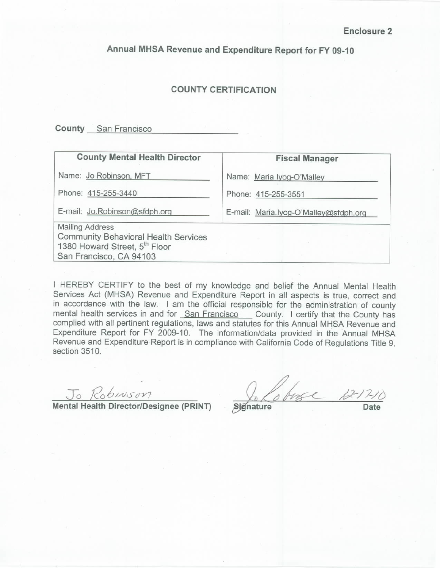Annual MHSA Revenue and Expenditure Report for FY 09-10

## **COUNTY CERTIFICATION**

**County** San Francisco

## **County Mental Health Director**

Name: Jo Robinson, MFT

Phone: 415-255-3440

E-mail: Jo.Robinson@sfdph.org

**Mailing Address Community Behavioral Health Services** 1380 Howard Street, 5<sup>th</sup> Floor San Francisco, CA 94103

**Fiscal Manager** 

Name: Maria Iyog-O'Malley

Phone: 415-255-3551

E-mail: Maria.lyog-O'Malley@sfdph.org

I HEREBY CERTIFY to the best of my knowledge and belief the Annual Mental Health Services Act (MHSA) Revenue and Expenditure Report in all aspects is true, correct and in accordance with the law. I am the official responsible for the administration of county mental health services in and for San Francisco County. I certify that the County has complied with all pertinent regulations, laws and statutes for this Annual MHSA Revenue and Expenditure Report for FY 2009-10. The information/data provided in the Annual MHSA Revenue and Expenditure Report is in compliance with California Code of Regulations Title 9, section 3510.

Jo Robinson

Mental Health Director/Designee (PRINT)

Lobose 10

Signature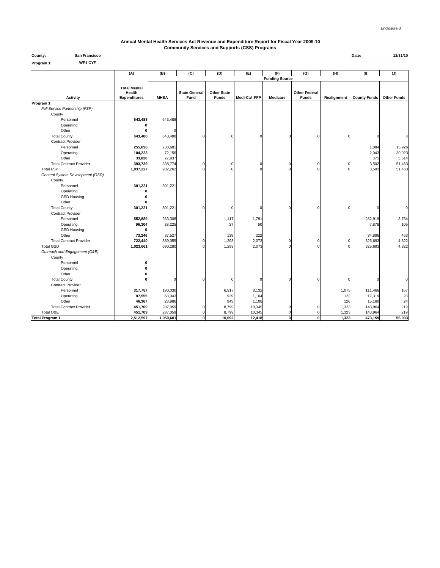#### **County: Date: 12/31/10 San Francisco Annual Mental Health Services Act Revenue and Expenditure Report for Fiscal Year 2009-10 Community Services and Supports (CSS) Programs**

| WP1 CYF<br>Program 1:                 |                                                      |                  |                              |                                    |                |                       |                                      |             |                     |                    |
|---------------------------------------|------------------------------------------------------|------------------|------------------------------|------------------------------------|----------------|-----------------------|--------------------------------------|-------------|---------------------|--------------------|
|                                       | (A)                                                  | (B)              | (C)                          | (D)                                | (E)            | (F)                   | (G)                                  | (H)         | (1)                 | (J)                |
|                                       |                                                      |                  |                              |                                    |                | <b>Funding Source</b> |                                      |             |                     |                    |
| <b>Activity</b>                       | <b>Total Mental</b><br>Health<br><b>Expenditures</b> | <b>MHSA</b>      | <b>State General</b><br>Fund | <b>Other State</b><br><b>Funds</b> | Medi-Cal FFP   | <b>Medicare</b>       | <b>Other Federal</b><br><b>Funds</b> | Realignment | <b>County Funds</b> | <b>Other Funds</b> |
| Program 1                             |                                                      |                  |                              |                                    |                |                       |                                      |             |                     |                    |
| Full Service Partnership (FSP)        |                                                      |                  |                              |                                    |                |                       |                                      |             |                     |                    |
| County                                |                                                      |                  |                              |                                    |                |                       |                                      |             |                     |                    |
| Personnel                             | 643,488                                              | 643,488          |                              |                                    |                |                       |                                      |             |                     |                    |
| Operating                             |                                                      |                  |                              |                                    |                |                       |                                      |             |                     |                    |
| Other                                 |                                                      | C                |                              |                                    |                |                       |                                      |             |                     |                    |
| <b>Total County</b>                   | 643,488                                              | 643,488          |                              | $\Omega$                           |                | $\Omega$              |                                      | $\Omega$    |                     | 0                  |
| <b>Contract Provider</b>              |                                                      |                  |                              |                                    |                |                       |                                      |             |                     |                    |
| Personnel                             | 255,690                                              | 238,681          |                              |                                    |                |                       |                                      |             | 1,084               | 15,926             |
| Operating                             | 104,223                                              | 72,156           |                              |                                    |                |                       |                                      |             | 2,043               | 30,023             |
| Other                                 | 33,826                                               | 27,937           |                              |                                    |                |                       |                                      |             | 375                 | 5,514              |
| <b>Total Contract Provider</b>        | 393,739                                              | 338,774          | $\Omega$                     | $\Omega$                           | n              | $\Omega$              | $\Omega$                             | C           | 3,502               | 51,463             |
| <b>Total FSP</b>                      | 1,037,227                                            | 982,262          | $\Omega$                     | C                                  |                | $\Omega$              | $\Omega$                             | C           | 3,502               | 51,463             |
| General System Development (GSD)      |                                                      |                  |                              |                                    |                |                       |                                      |             |                     |                    |
| County                                |                                                      |                  |                              |                                    |                |                       |                                      |             |                     |                    |
| Personnel                             | 301,221                                              | 301,221          |                              |                                    |                |                       |                                      |             |                     |                    |
| Operating                             |                                                      |                  |                              |                                    |                |                       |                                      |             |                     |                    |
| <b>GSD Housing</b>                    | ŋ                                                    |                  |                              |                                    |                |                       |                                      |             |                     |                    |
| Other                                 |                                                      |                  |                              |                                    |                |                       |                                      |             |                     |                    |
| <b>Total County</b>                   | 301,221                                              | 301,221          |                              | C                                  | $\Omega$       | $\Omega$              | r                                    | $\Omega$    |                     | $\Omega$           |
| <b>Contract Provider</b>              |                                                      |                  |                              |                                    |                |                       |                                      |             |                     |                    |
| Personnel                             | 552,889                                              | 263,308          |                              | 1,117                              | 1,791          |                       |                                      |             | 282,919             | 3,754              |
| Operating                             | 96,304                                               | 88,225           |                              | 37                                 | 60             |                       |                                      |             | 7,878               | 105                |
| <b>GSD Housing</b>                    |                                                      |                  |                              |                                    |                |                       |                                      |             |                     |                    |
| Other                                 | 73,246                                               | 37,527           |                              | 139                                | 222            |                       |                                      |             | 34,896              | 463                |
| <b>Total Contract Provider</b>        | 722,440                                              | 389,059          | $\Omega$                     | 1,293                              | 2,073          | $\Omega$              | $\Omega$                             | $\Omega$    | 325,693             | 4,322              |
| <b>Total GSD</b>                      | 1,023,661                                            | 690,280          | $\mathbf 0$                  | 1,293                              | 2,073          | $\mathbf 0$           | $\Omega$                             | $\Omega$    | 325,693             | 4,322              |
| Outreach and Engagement (O&E)         |                                                      |                  |                              |                                    |                |                       |                                      |             |                     |                    |
| County                                |                                                      |                  |                              |                                    |                |                       |                                      |             |                     |                    |
| Personnel                             | 0<br>n                                               |                  |                              |                                    |                |                       |                                      |             |                     |                    |
| Operating                             |                                                      |                  |                              |                                    |                |                       |                                      |             |                     |                    |
| Other                                 | 0<br>O                                               |                  |                              | $\Omega$                           | $\Omega$       | $\Omega$              | $\Omega$                             |             |                     |                    |
| <b>Total County</b>                   |                                                      | $\Omega$         |                              |                                    |                |                       |                                      | 0           |                     | $\Omega$           |
| <b>Contract Provider</b><br>Personnel | 317,787                                              | 190,030          |                              |                                    |                |                       |                                      |             |                     |                    |
|                                       | 87,555                                               |                  |                              | 6,917                              | 8,132          |                       |                                      | 1,075       | 111,466             | 167<br>28          |
| Operating<br>Other                    | 46,367                                               | 68,043<br>28,986 |                              | 939<br>943                         | 1,104<br>1,108 |                       |                                      | 122<br>126  | 17,319<br>15,180    | 24                 |
| <b>Total Contract Provider</b>        | 451,709                                              | 287,059          | $\Omega$                     | 8,799                              | 10,345         | 0                     | O                                    | 1,323       | 143,964             | 219                |
| Total O&E                             | 451,709                                              | 287,059          | $\Omega$                     | 8,799                              | 10,345         | $\Omega$              | O                                    | 1,323       | 143,964             | 219                |
| <b>Total Program 1</b>                | 2,512,597                                            | 1,959,601        | $\mathbf{o}$                 | 10,092                             | 12,418         | $\mathbf 0$           | $\mathbf 0$                          | 1,323       | 473,159             | 56,003             |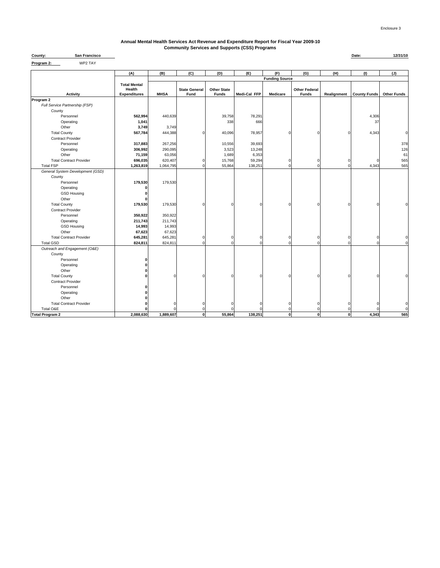### **Annual Mental Health Services Act Revenue and Expenditure Report for Fiscal Year 2009-10 Community Services and Supports (CSS) Programs**

| County:    | <b>San Francisco</b> | Date: |  |
|------------|----------------------|-------|--|
| Program 2: | WP2 TAY              |       |  |

| .                                |                                                      |             |                              |                                    |              |                       |                                      |             |                     |                    |
|----------------------------------|------------------------------------------------------|-------------|------------------------------|------------------------------------|--------------|-----------------------|--------------------------------------|-------------|---------------------|--------------------|
|                                  | (A)                                                  | (B)         | (C)                          | (D)                                | (E)          | (F)                   | (G)                                  | (H)         | (1)                 | (J)                |
|                                  |                                                      |             |                              |                                    |              | <b>Funding Source</b> |                                      |             |                     |                    |
| <b>Activity</b>                  | <b>Total Mental</b><br>Health<br><b>Expenditures</b> | <b>MHSA</b> | <b>State General</b><br>Fund | <b>Other State</b><br><b>Funds</b> | Medi-Cal FFP | Medicare              | <b>Other Federal</b><br><b>Funds</b> | Realignment | <b>County Funds</b> | <b>Other Funds</b> |
| Program 2                        |                                                      |             |                              |                                    |              |                       |                                      |             |                     |                    |
| Full Service Partnership (FSP)   |                                                      |             |                              |                                    |              |                       |                                      |             |                     |                    |
| County                           |                                                      |             |                              |                                    |              |                       |                                      |             |                     |                    |
| Personnel                        | 562,994                                              | 440,639     |                              | 39,758                             | 78,291       |                       |                                      |             | 4,306               |                    |
| Operating                        | 1,041                                                |             |                              | 338                                | 666          |                       |                                      |             | 37                  |                    |
| Other                            | 3,749                                                | 3,749       |                              |                                    |              |                       |                                      |             |                     |                    |
| <b>Total County</b>              | 567,784                                              | 444,388     | $\Omega$                     | 40,096                             | 78,957       | C                     |                                      |             | 4,343               | $\Omega$           |
| <b>Contract Provider</b>         |                                                      |             |                              |                                    |              |                       |                                      |             |                     |                    |
| Personnel                        | 317,883                                              | 267,256     |                              | 10,556                             | 39,693       |                       |                                      |             |                     | 378                |
| Operating                        | 306,992                                              | 290,095     |                              | 3,523                              | 13,248       |                       |                                      |             |                     | 126                |
| Other                            | 71,159                                               | 63,056      |                              | 1,689                              | 6,353        |                       |                                      |             |                     | 61                 |
| <b>Total Contract Provider</b>   | 696,035                                              | 620,407     | $\Omega$                     | 15,768                             | 59,294       | $\Omega$              |                                      |             |                     | 565                |
| <b>Total FSP</b>                 | 1,263,819                                            | 1,064,795   | $\mathbf 0$                  | 55,864                             | 138,251      | $\Omega$              |                                      |             | 4,343               | 565                |
| General System Development (GSD) |                                                      |             |                              |                                    |              |                       |                                      |             |                     |                    |
| County                           |                                                      |             |                              |                                    |              |                       |                                      |             |                     |                    |
| Personnel                        | 179,530                                              | 179,530     |                              |                                    |              |                       |                                      |             |                     |                    |
| Operating<br><b>GSD Housing</b>  |                                                      |             |                              |                                    |              |                       |                                      |             |                     |                    |
| Other                            |                                                      |             |                              |                                    |              |                       |                                      |             |                     |                    |
| <b>Total County</b>              | 179,530                                              | 179,530     | $\sqrt{2}$                   |                                    | $\Omega$     | ſ                     |                                      |             | C                   |                    |
| <b>Contract Provider</b>         |                                                      |             |                              |                                    |              |                       |                                      |             |                     |                    |
| Personnel                        | 350,922                                              | 350,922     |                              |                                    |              |                       |                                      |             |                     |                    |
| Operating                        | 211,743                                              | 211,743     |                              |                                    |              |                       |                                      |             |                     |                    |
| <b>GSD Housing</b>               | 14,993                                               | 14,993      |                              |                                    |              |                       |                                      |             |                     |                    |
| Other                            | 67,623                                               | 67,623      |                              |                                    |              |                       |                                      |             |                     |                    |
| <b>Total Contract Provider</b>   | 645,281                                              | 645,281     | $\mathbf 0$                  | $\Omega$                           | $\Omega$     | $\Omega$              |                                      | C           | $\Omega$            | $\mathbf 0$        |
| <b>Total GSD</b>                 | 824,811                                              | 824,811     | $\Omega$                     | $\Omega$                           | $\Omega$     | O                     |                                      |             | C                   | $\mathbf 0$        |
| Outreach and Engagement (O&E)    |                                                      |             |                              |                                    |              |                       |                                      |             |                     |                    |
| County                           |                                                      |             |                              |                                    |              |                       |                                      |             |                     |                    |
| Personnel                        | O                                                    |             |                              |                                    |              |                       |                                      |             |                     |                    |
| Operating                        |                                                      |             |                              |                                    |              |                       |                                      |             |                     |                    |
| Other                            |                                                      |             |                              |                                    |              |                       |                                      |             |                     |                    |
| <b>Total County</b>              |                                                      |             |                              |                                    | $\Omega$     | n                     |                                      |             | C                   |                    |
| <b>Contract Provider</b>         |                                                      |             |                              |                                    |              |                       |                                      |             |                     |                    |
| Personnel                        |                                                      |             |                              |                                    |              |                       |                                      |             |                     |                    |
| Operating                        |                                                      |             |                              |                                    |              |                       |                                      |             |                     |                    |
| Other                            |                                                      |             |                              |                                    |              |                       |                                      |             |                     |                    |
| <b>Total Contract Provider</b>   |                                                      | Λ           | $\Omega$                     |                                    |              | $\Omega$              |                                      |             | C                   | $\mathbf 0$        |
| Total O&E                        |                                                      |             | $\Omega$                     |                                    |              |                       |                                      |             |                     | $\Omega$           |
| <b>Total Program 2</b>           | 2,088,630                                            | 1,889,607   | $\mathbf{0}$                 | 55,864                             | 138,251      | $\mathbf 0$           |                                      | $\bf{0}$    | 4,343               | 565                |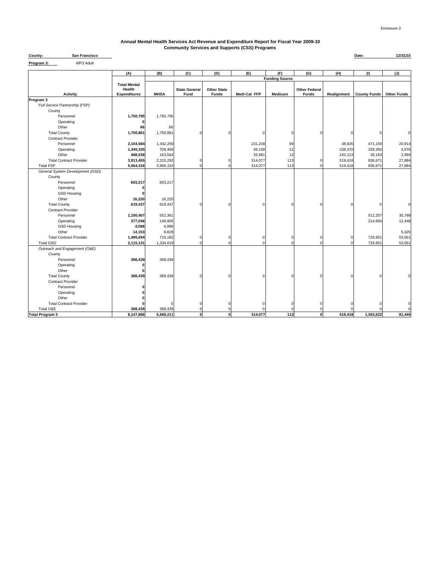### **Annual Mental Health Services Act Revenue and Expenditure Report for Fiscal Year 2009-10 Community Services and Supports (CSS) Programs**

| . <i>.</i>                       |                      |             |                      |                    |              |                       |                      |             |                     |                       |
|----------------------------------|----------------------|-------------|----------------------|--------------------|--------------|-----------------------|----------------------|-------------|---------------------|-----------------------|
|                                  | (A)                  | (B)         | (C)                  | (D)                | (E)          | (F)                   | (G)                  | (H)         | (1)                 | (J)                   |
|                                  |                      |             |                      |                    |              | <b>Funding Source</b> |                      |             |                     |                       |
|                                  | <b>Total Mental</b>  |             |                      |                    |              |                       |                      |             |                     |                       |
|                                  | Health               | <b>MHSA</b> | <b>State General</b> | <b>Other State</b> |              |                       | <b>Other Federal</b> |             |                     |                       |
| Activity<br>Program 3            | <b>Expenditures</b>  |             | Fund                 | <b>Funds</b>       | Medi-Cal FFP | Medicare              | Funds                | Realignment | <b>County Funds</b> | <b>Other Funds</b>    |
| Full Service Partnership (FSP)   |                      |             |                      |                    |              |                       |                      |             |                     |                       |
| County                           |                      |             |                      |                    |              |                       |                      |             |                     |                       |
| Personnel                        | 1,750,795            | 1,750,795   |                      |                    |              |                       |                      |             |                     |                       |
| Operating                        |                      |             |                      |                    |              |                       |                      |             |                     |                       |
| Other                            | 66                   | 66          |                      |                    |              |                       |                      |             |                     |                       |
| <b>Total County</b>              | 1,750,861            | 1,750,861   | $\Omega$             | ſ                  |              | $\Omega$              | $\Omega$             | $\Omega$    | $\Omega$            | $\Omega$              |
| <b>Contract Provider</b>         |                      |             |                      |                    |              |                       |                      |             |                     |                       |
| Personnel                        | 2,104,584            | 1,342,259   |                      |                    | 231,238      | 89                    |                      | 38,926      | 471,159             | 20,914                |
| Operating                        | 1,340,335            | 709,469     |                      |                    | 49,158       | 12                    |                      | 238,370     | 339,350             | 3,976                 |
| Other                            | 468,536              | 163,564     |                      |                    | 33,681       | 12                    |                      | 242,123     | 26,163              | 2,994                 |
| <b>Total Contract Provider</b>   | 3,913,455            | 2,215,292   | $\Omega$             | $\Omega$           | 314,077      | 113                   | n                    | 519,418     | 836,671             | 27,884                |
| <b>Total FSP</b>                 | 5,664,316            | 3,966,153   | $\Omega$             | n                  | 314,077      | 113                   |                      | 519,418     | 836,671             | 27,884                |
| General System Development (GSD) |                      |             |                      |                    |              |                       |                      |             |                     |                       |
| County                           |                      |             |                      |                    |              |                       |                      |             |                     |                       |
| Personnel                        | 603,217              | 603,217     |                      |                    |              |                       |                      |             |                     |                       |
| Operating                        |                      |             |                      |                    |              |                       |                      |             |                     |                       |
| <b>GSD Housing</b>               |                      |             |                      |                    |              |                       |                      |             |                     |                       |
| Other                            | 16,220               | 16,220      |                      |                    |              |                       |                      |             |                     |                       |
| <b>Total County</b>              | 619,437              | 619,437     | $\Omega$             | ſ                  |              | $\Omega$              | $\Omega$             | $\Omega$    | $\Omega$            | $\Omega$              |
| <b>Contract Provider</b>         |                      |             |                      |                    |              |                       |                      |             |                     |                       |
| Personnel                        | 1,100,407            | 552,361     |                      |                    |              |                       |                      |             | 512,257             | 35,789                |
| Operating                        | 377,046              | 149,905     |                      |                    |              |                       |                      |             | 214,694             | 12,448                |
| <b>GSD Housing</b>               | 4,088                | 4,088       |                      |                    |              |                       |                      |             |                     |                       |
| Other                            | 14,153               | 8,828       |                      |                    |              |                       |                      |             |                     | 5,325                 |
| <b>Total Contract Provider</b>   | 1,495,694            | 715,182     | $\Omega$             | $\Omega$           | O            | $\Omega$              | $^{\circ}$           |             | 726,951             | 53,561                |
| <b>Total GSD</b>                 | 2,115,131            | 1,334,619   | $\Omega$             | $\Omega$           | $\Omega$     | $\Omega$              | $\Omega$             |             | 726,951             | 53,561                |
| Outreach and Engagement (O&E)    |                      |             |                      |                    |              |                       |                      |             |                     |                       |
| County                           |                      |             |                      |                    |              |                       |                      |             |                     |                       |
| Personnel                        | 368,439              | 368,439     |                      |                    |              |                       |                      |             |                     |                       |
| Operating                        |                      |             |                      |                    |              |                       |                      |             |                     |                       |
| Other                            |                      |             |                      |                    |              |                       |                      |             |                     |                       |
| <b>Total County</b>              | 368,439              | 368,439     | $\Omega$             | C                  |              | $\Omega$              | $\Omega$             |             | $\Omega$            |                       |
| <b>Contract Provider</b>         |                      |             |                      |                    |              |                       |                      |             |                     |                       |
| Personnel                        |                      |             |                      |                    |              |                       |                      |             |                     |                       |
| Operating<br>Other               |                      |             |                      |                    |              |                       |                      |             |                     |                       |
| <b>Total Contract Provider</b>   |                      |             | $\Omega$             | C                  |              | n                     | $\Omega$             |             | C                   | $\Omega$              |
| Total O&E                        |                      | 368,439     |                      |                    |              |                       |                      |             |                     |                       |
| <b>Total Program 3</b>           | 368,439<br>8,147,886 | 5,669,211   | $\mathbf 0$          | $\bf{0}$           | 314,077      | 113                   | $\mathbf{0}$         | 519,418     | 1,563,622           | $\mathbf 0$<br>81,445 |
|                                  |                      |             |                      |                    |              |                       |                      |             |                     |                       |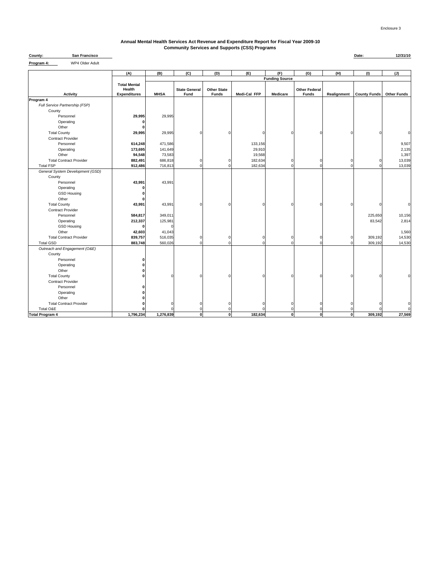### **Annual Mental Health Services Act Revenue and Expenditure Report for Fiscal Year 2009-10 Community Services and Supports (CSS) Programs**

| County:    | <b>San Francisco</b> |  | Date: | 12/31/10 |
|------------|----------------------|--|-------|----------|
| Program 4: | WP4 Older Adult<br>. |  |       |          |

|                                         | (A)                 | (B)         | (C)                  | (D)                | (E)          | (F)                   | (G)                  | (H)         | (1)                 | (J)                |
|-----------------------------------------|---------------------|-------------|----------------------|--------------------|--------------|-----------------------|----------------------|-------------|---------------------|--------------------|
|                                         |                     |             |                      |                    |              | <b>Funding Source</b> |                      |             |                     |                    |
|                                         | <b>Total Mental</b> |             |                      |                    |              |                       |                      |             |                     |                    |
|                                         | Health              | <b>MHSA</b> | <b>State General</b> | <b>Other State</b> |              |                       | <b>Other Federal</b> |             |                     |                    |
| <b>Activity</b><br>Program 4            | <b>Expenditures</b> |             | Fund                 | Funds              | Medi-Cal FFP | <b>Medicare</b>       | Funds                | Realignment | <b>County Funds</b> | <b>Other Funds</b> |
| Full Service Partnership (FSP)          |                     |             |                      |                    |              |                       |                      |             |                     |                    |
| County                                  |                     |             |                      |                    |              |                       |                      |             |                     |                    |
| Personnel                               | 29,995              | 29,995      |                      |                    |              |                       |                      |             |                     |                    |
| Operating                               |                     |             |                      |                    |              |                       |                      |             |                     |                    |
| Other                                   | O                   |             |                      |                    |              |                       |                      |             |                     |                    |
| <b>Total County</b>                     | 29,995              | 29,995      |                      |                    | C            | $\Omega$              |                      |             |                     | 0                  |
| <b>Contract Provider</b>                |                     |             |                      |                    |              |                       |                      |             |                     |                    |
| Personnel                               | 614,248             | 471,586     |                      |                    | 133,156      |                       |                      |             |                     | 9,507              |
| Operating                               | 173,695             | 141,649     |                      |                    | 29,910       |                       |                      |             |                     | 2,135              |
| Other                                   | 94,548              | 73,583      |                      |                    | 19,568       |                       |                      |             |                     | 1,397              |
| <b>Total Contract Provider</b>          | 882,491             | 686,818     |                      |                    | 182,634      | $\mathbf 0$           |                      |             |                     | 13,039             |
| <b>Total FSP</b>                        | 912,486             | 716,813     |                      |                    | 182,634      | $\Omega$              |                      |             |                     | 13,039             |
| General System Development (GSD)        |                     |             |                      |                    |              |                       |                      |             |                     |                    |
| County                                  |                     |             |                      |                    |              |                       |                      |             |                     |                    |
| Personnel                               | 43,991              | 43,991      |                      |                    |              |                       |                      |             |                     |                    |
| Operating                               |                     |             |                      |                    |              |                       |                      |             |                     |                    |
| <b>GSD Housing</b>                      |                     |             |                      |                    |              |                       |                      |             |                     |                    |
| Other                                   |                     |             |                      |                    |              |                       |                      |             |                     |                    |
| <b>Total County</b>                     | 43,991              | 43,991      |                      |                    | C            | $\Omega$              |                      |             |                     | 0                  |
| <b>Contract Provider</b>                |                     |             |                      |                    |              |                       |                      |             |                     |                    |
| Personnel                               | 584,817             | 349,011     |                      |                    |              |                       |                      |             | 225,650             | 10,156             |
| Operating                               | 212,337             | 125,981     |                      |                    |              |                       |                      |             | 83,542              | 2,814              |
| <b>GSD Housing</b>                      |                     | $\Omega$    |                      |                    |              |                       |                      |             |                     |                    |
| Other                                   | 42,603              | 41,043      |                      |                    |              |                       |                      |             |                     | 1,560              |
| <b>Total Contract Provider</b>          | 839,757             | 516,035     | C                    |                    | $\Omega$     | $\mathbf 0$           | $\Omega$             |             | 309,192             | 14,530             |
| <b>Total GSD</b>                        | 883,748             | 560,026     |                      |                    | $\Omega$     | $\Omega$              | n                    |             | 309,192             | 14,530             |
| Outreach and Engagement (O&E)           |                     |             |                      |                    |              |                       |                      |             |                     |                    |
| County                                  |                     |             |                      |                    |              |                       |                      |             |                     |                    |
| Personnel                               |                     |             |                      |                    |              |                       |                      |             |                     |                    |
| Operating                               |                     |             |                      |                    |              |                       |                      |             |                     |                    |
| Other                                   |                     |             |                      |                    |              |                       |                      |             |                     |                    |
| <b>Total County</b>                     |                     | $\Omega$    |                      |                    |              | $\Omega$              |                      |             |                     |                    |
| <b>Contract Provider</b>                |                     |             |                      |                    |              |                       |                      |             |                     |                    |
| Personnel                               |                     |             |                      |                    |              |                       |                      |             |                     |                    |
| Operating                               |                     |             |                      |                    |              |                       |                      |             |                     |                    |
| Other<br><b>Total Contract Provider</b> |                     | $\Omega$    |                      |                    |              | $\mathbf 0$           |                      |             |                     | $\Omega$           |
| Total O&E                               |                     | $\Omega$    |                      |                    |              | $\Omega$              |                      |             |                     |                    |
| <b>Total Program 4</b>                  | 1,796,234           | 1,276,839   | O                    | $\bf{0}$           | 182,634      | $\mathbf{0}$          | $\Omega$             | $\Omega$    | 309,192             | 27,569             |
|                                         |                     |             |                      |                    |              |                       |                      |             |                     |                    |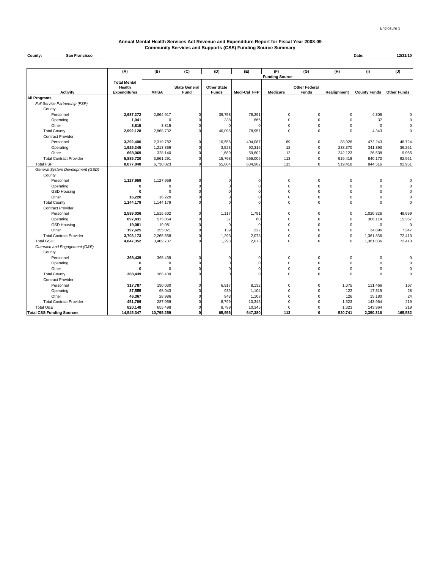#### **Annual Mental Health Services Act Revenue and Expenditure Report for Fiscal Year 2008-09 Community Services and Supports (CSS) Funding Source Summary**

#### **County: Date: 12/31/10 San Francisco**

|                                  | (A)                           | (B)         | (C)                  | (D)                | (E)          | (F)                   | (G)                  | (H)         | (1)                 | (J)                |
|----------------------------------|-------------------------------|-------------|----------------------|--------------------|--------------|-----------------------|----------------------|-------------|---------------------|--------------------|
|                                  |                               |             |                      |                    |              | <b>Funding Source</b> |                      |             |                     |                    |
|                                  | <b>Total Mental</b><br>Health |             | <b>State General</b> | <b>Other State</b> |              |                       | <b>Other Federal</b> |             |                     |                    |
| <b>Activity</b>                  | <b>Expenditures</b>           | <b>MHSA</b> | Fund                 | <b>Funds</b>       | Medi-Cal FFP | Medicare              | <b>Funds</b>         | Realignment | <b>County Funds</b> | <b>Other Funds</b> |
| <b>All Programs</b>              |                               |             |                      |                    |              |                       |                      |             |                     |                    |
| Full Service Partnership (FSP)   |                               |             |                      |                    |              |                       |                      |             |                     |                    |
| County                           |                               |             |                      |                    |              |                       |                      |             |                     |                    |
| Personnel                        | 2,987,272                     | 2,864,917   | $\Omega$             | 39,758             | 78,291       | n                     | $\Omega$             |             | 4,306               |                    |
| Operating                        | 1,041                         |             |                      | 338                | 666          |                       | $\Omega$             |             | 37                  |                    |
| Other                            | 3,815                         | 3,815       | O                    |                    |              |                       | $\Omega$             |             | $\Omega$            |                    |
| <b>Total County</b>              | 2,992,128                     | 2,868,732   | $\Omega$             | 40,096             | 78,957       |                       | $\Omega$             |             | 4,343               | O                  |
| <b>Contract Provider</b>         |                               |             |                      |                    |              |                       |                      |             |                     |                    |
| Personnel                        | 3,292,406                     | 2,319,782   | $\Omega$             | 10,556             | 404,087      | 89                    | $\Omega$             | 38,926      | 472,243             | 46,724             |
| Operating                        | 1,925,245                     | 1,213,369   |                      | 3,523              | 92,316       | 12                    | $\Omega$             | 238,370     | 341,393             | 36,261             |
| Other                            | 668,069                       | 328,140     | $\Omega$             | 1,689              | 59,602       | 12                    | $\Omega$             | 242,123     | 26,538              | 9,965              |
| <b>Total Contract Provider</b>   | 5,885,720                     | 3,861,291   | $\Omega$             | 15,768             | 556,005      | 113                   | $\Omega$             | 519,418     | 840,173             | 92,951             |
| <b>Total FSP</b>                 | 8,877,848                     | 6,730,023   | $\Omega$             | 55,864             | 634,962      | 113                   | $\Omega$             | 519,418     | 844,516             | 92,951             |
| General System Development (GSD) |                               |             |                      |                    |              |                       |                      |             |                     |                    |
| County                           |                               |             |                      |                    |              |                       |                      |             |                     |                    |
| Personnel                        | 1,127,959                     | 1,127,959   | $\Omega$             |                    |              |                       | $\Omega$             |             |                     |                    |
| Operating                        |                               |             | $\Omega$             |                    |              |                       | $\Omega$             |             |                     |                    |
| <b>GSD Housing</b>               |                               |             |                      |                    |              |                       | $\Omega$             |             |                     |                    |
| Other                            | 16,220                        | 16,220      |                      |                    |              |                       | $\Omega$             |             |                     |                    |
| <b>Total County</b>              | 1,144,179                     | 1,144,179   | $\Omega$             |                    |              |                       | $\Omega$             |             |                     | 0                  |
| <b>Contract Provider</b>         |                               |             |                      |                    |              |                       |                      |             |                     |                    |
| Personnel                        | 2,589,036                     | 1,515,602   | 0                    | 1,117              | 1,791        |                       | $\Omega$             |             | 1,020,826           | 49,699             |
| Operating                        | 897,431                       | 575,854     |                      | 37                 | 60           |                       | $\Omega$             |             | 306,114             | 15,367             |
| <b>GSD Housing</b>               | 19,081                        | 19,081      | $\Omega$             | $\Omega$           |              |                       | $\Omega$             |             |                     | $\mathbf 0$        |
| Other                            | 197,625                       | 155,021     | $\Omega$             | 139                | 222          |                       | $\Omega$             |             | 34,896              | 7,347              |
| <b>Total Contract Provider</b>   | 3,703,173                     | 2,265,558   | $\Omega$             | 1,293              | 2,073        |                       | $\Omega$             |             | 1,361,836           | 72,413             |
| <b>Total GSD</b>                 | 4,847,352                     | 3,409,737   | $\Omega$             | 1,293              | 2,073        |                       | $\Omega$             |             | 1,361,836           | 72,413             |
| Outreach and Engagement (O&E)    |                               |             |                      |                    |              |                       |                      |             |                     |                    |
| County                           |                               |             |                      |                    |              |                       |                      |             |                     |                    |
| Personnel                        | 368,439                       | 368,439     | O                    |                    |              |                       | $\mathbf 0$          |             | $\Omega$            | 0                  |
| Operating                        |                               |             |                      |                    |              |                       | $\Omega$             |             |                     |                    |
| Other                            |                               |             | $\Omega$             |                    |              |                       | $\Omega$             |             |                     |                    |
| <b>Total County</b>              | 368,439                       | 368,439     |                      |                    |              |                       | $\Omega$             |             |                     | 0                  |
| <b>Contract Provider</b>         |                               |             |                      |                    |              |                       |                      |             |                     |                    |
| Personnel                        | 317,787                       | 190,030     |                      | 6,917              | 8,132        |                       | $\Omega$             | 1,075       | 111,466             | 167                |
| Operating                        | 87,555                        | 68,043      |                      | 939                | 1,104        |                       |                      | 122         | 17,319              | 28                 |
| Other                            | 46,367                        | 28,986      |                      | 943                | 1,108        |                       | $\Omega$             | 126         | 15,180              | 24                 |
| <b>Total Contract Provider</b>   | 451,709                       | 287,059     |                      | 8,799              | 10,345       |                       | $\Omega$             | 1,323       | 143,964             | 219                |
| Total O&E                        | 820,148                       | 655,498     | $\Omega$             | 8,799              | 10,345       |                       | $\Omega$             | 1,323       | 143,964             | 219                |
| <b>Total CSS Funding Sources</b> | 14,545,347                    | 10,795,259  | $\mathbf{0}$         | 65,956             | 647,380      | 113                   | $\mathbf{0}$         | 520,741     | 2,350,316           | 165,582            |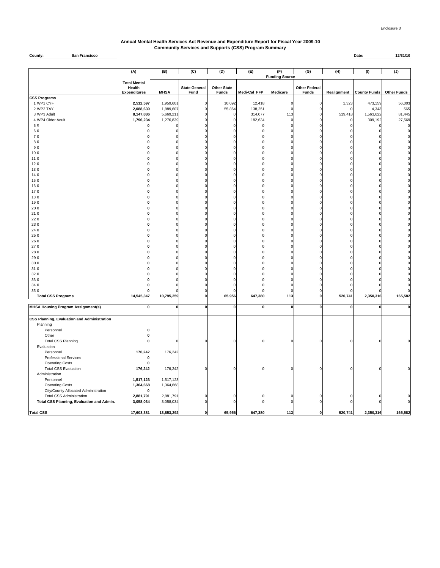### **Annual Mental Health Services Act Revenue and Expenditure Report for Fiscal Year 2009-10 Community Services and Supports (CSS) Program Summary**

#### **County: Date: 12/31/10 San Francisco**

|                                             | (A)                                                  | (B)          | (C)                          | (D)                                | (E)          | (F)                   | (G)                                  | (H)         | (1)                 | (J)                |
|---------------------------------------------|------------------------------------------------------|--------------|------------------------------|------------------------------------|--------------|-----------------------|--------------------------------------|-------------|---------------------|--------------------|
|                                             |                                                      |              |                              |                                    |              | <b>Funding Source</b> |                                      |             |                     |                    |
|                                             | <b>Total Mental</b><br>Health<br><b>Expenditures</b> | <b>MHSA</b>  | <b>State General</b><br>Fund | <b>Other State</b><br><b>Funds</b> | Medi-Cal FFP | Medicare              | <b>Other Federal</b><br><b>Funds</b> | Realignment | <b>County Funds</b> | <b>Other Funds</b> |
| CSS Programs                                |                                                      |              |                              |                                    |              |                       |                                      |             |                     |                    |
| 1 WP1 CYF                                   | 2,512,597                                            | 1,959,601    | $\Omega$                     | 10,092                             | 12,418       | $\Omega$              | $\Omega$                             | 1,323       | 473,159             | 56,003             |
| 2 WP2 TAY                                   | 2,088,630                                            | 1,889,607    | $\mathbf 0$                  | 55,864                             | 138,251      | $\Omega$              |                                      |             | 4,343               | 565                |
| 3 WP3 Adult                                 | 8,147,886                                            | 5,669,211    | $\mathbf 0$                  | C                                  | 314,077      | 113                   | 0                                    | 519,418     | 1,563,622           | 81,445             |
| 4 WP4 Older Adult                           | 1,796,234                                            | 1,276,839    | $\Omega$                     |                                    | 182,634      | $\Omega$              | $\Omega$                             |             | 309,192             | 27,569             |
| 50                                          |                                                      |              | $\Omega$                     |                                    |              | 0                     |                                      |             |                     | $\Omega$           |
| 60                                          |                                                      |              | $\Omega$                     |                                    |              |                       |                                      |             |                     | O                  |
| 70                                          |                                                      |              | $\mathbf 0$                  |                                    |              |                       |                                      |             |                     |                    |
| 80                                          |                                                      |              | $\Omega$                     |                                    |              |                       |                                      |             |                     |                    |
| 90                                          |                                                      |              | $\Omega$                     |                                    |              |                       |                                      |             |                     |                    |
| 100                                         |                                                      |              | $\mathbf 0$                  |                                    |              |                       |                                      |             |                     |                    |
| 110                                         |                                                      |              | $\mathbf 0$                  |                                    |              |                       | $\Omega$                             | $\Omega$    |                     |                    |
| 120                                         |                                                      |              | $\Omega$                     |                                    |              |                       | $\Omega$                             |             |                     |                    |
| 130                                         |                                                      |              | $\mathbf 0$                  |                                    |              |                       |                                      |             |                     |                    |
| 140                                         |                                                      |              | $\Omega$                     |                                    |              |                       | $\Omega$                             | $\Omega$    |                     |                    |
| 150                                         |                                                      | n            | $\Omega$                     |                                    |              |                       | $\Omega$                             |             |                     |                    |
| 160                                         |                                                      |              | $\mathbf 0$                  |                                    |              |                       |                                      |             |                     |                    |
| 170                                         |                                                      |              | $\mathbf 0$                  |                                    |              |                       | $\Omega$                             | $\Omega$    |                     |                    |
| 180                                         |                                                      |              | $\Omega$                     |                                    |              |                       | $\Omega$                             | $\Omega$    |                     |                    |
| 190                                         |                                                      |              | $\Omega$                     |                                    |              |                       |                                      |             |                     |                    |
| 20 0                                        |                                                      |              | $\Omega$                     |                                    |              |                       |                                      |             |                     |                    |
| 210                                         |                                                      |              | $\Omega$                     |                                    |              |                       | $\Omega$                             | $\Omega$    |                     |                    |
| 22 0                                        |                                                      |              | $\Omega$                     |                                    |              |                       | n                                    | $\Omega$    |                     |                    |
| 230                                         |                                                      |              | $\Omega$                     |                                    |              |                       | $\Omega$                             |             |                     |                    |
| 24 0                                        |                                                      |              |                              |                                    |              |                       |                                      |             |                     |                    |
| 25 0                                        |                                                      |              | $\Omega$                     |                                    |              |                       | $\Omega$                             |             |                     |                    |
| 26 0                                        |                                                      |              | $\Omega$                     |                                    |              |                       |                                      |             |                     |                    |
| 270                                         |                                                      |              | $\Omega$                     |                                    |              |                       |                                      |             |                     |                    |
| 28 0                                        |                                                      |              | $\Omega$                     |                                    |              |                       | $\Omega$                             | $\Omega$    |                     |                    |
| 290                                         |                                                      |              | $\Omega$                     |                                    |              |                       | $\Omega$                             |             |                     |                    |
| 30 0                                        |                                                      |              |                              |                                    |              |                       |                                      |             |                     |                    |
| 310                                         |                                                      |              | $\Omega$                     |                                    |              |                       |                                      |             |                     |                    |
| 32 0                                        |                                                      |              | $\Omega$                     |                                    |              |                       |                                      |             |                     |                    |
| 330                                         |                                                      |              | $\Omega$                     |                                    |              |                       |                                      |             |                     |                    |
| 34 0                                        |                                                      |              | $\mathbf 0$                  |                                    |              |                       |                                      |             |                     |                    |
|                                             |                                                      |              | 0                            |                                    |              |                       |                                      |             |                     |                    |
| 35 0<br><b>Total CSS Programs</b>           | 14,545,347                                           | 10,795,259   | $\pmb{0}$                    | 65,956                             | 647,380      | 113                   | 0                                    | 520,741     | 2,350,316           | 165,582            |
|                                             |                                                      |              |                              |                                    |              |                       |                                      |             |                     |                    |
| <b>MHSA Housing Program Assignment(s)</b>   | 0                                                    | $\mathbf{0}$ | $\pmb{0}$                    | $\mathbf 0$                        | $\mathbf 0$  | $\mathbf{0}$          | $\pmb{0}$                            | $\mathbf 0$ | $\mathbf 0$         | $\mathbf 0$        |
| CSS Planning, Evaluation and Administration |                                                      |              |                              |                                    |              |                       |                                      |             |                     |                    |
| Planning                                    |                                                      |              |                              |                                    |              |                       |                                      |             |                     |                    |
| Personnel                                   |                                                      |              |                              |                                    |              |                       |                                      |             |                     |                    |
| Other                                       |                                                      |              |                              |                                    |              |                       |                                      |             |                     |                    |
| <b>Total CSS Planning</b>                   |                                                      | $\Omega$     | $\mathbf 0$                  |                                    |              |                       |                                      |             |                     | $\Omega$           |
| Evaluation                                  |                                                      |              |                              |                                    |              |                       |                                      |             |                     |                    |
| Personnel                                   | 176,242                                              | 176,242      |                              |                                    |              |                       |                                      |             |                     |                    |
| <b>Professional Services</b>                |                                                      |              |                              |                                    |              |                       |                                      |             |                     |                    |
| <b>Operating Costs</b>                      |                                                      |              |                              |                                    |              |                       |                                      |             |                     |                    |
| <b>Total CSS Evaluation</b>                 | 176,242                                              | 176,242      | $\mathbf 0$                  | C                                  |              | n                     |                                      |             |                     |                    |
| Administration                              |                                                      |              |                              |                                    |              |                       |                                      |             |                     |                    |
| Personnel                                   | 1,517,123                                            | 1,517,123    |                              |                                    |              |                       |                                      |             |                     |                    |
| <b>Operating Costs</b>                      | 1,364,668                                            | 1,364,668    |                              |                                    |              |                       |                                      |             |                     |                    |
| City/County Allocated Administration        |                                                      |              |                              |                                    |              |                       |                                      |             |                     |                    |
| <b>Total CSS Administration</b>             | 2,881,791                                            | 2,881,791    | $\Omega$                     |                                    |              |                       |                                      |             |                     |                    |
| Total CSS Planning, Evaluation and Admin.   | 3,058,034                                            | 3,058,034    | $\pmb{0}$                    | $\mathcal{C}$                      |              | $\Omega$              |                                      |             |                     | O                  |
|                                             |                                                      |              |                              |                                    |              |                       |                                      |             |                     |                    |
| <b>Total CSS</b>                            | 17,603,381                                           | 13,853,292   | $\mathbf{0}$                 | 65,956                             | 647,380      | $113$                 | <sub>0</sub>                         | 520,741     | 2,350,316           | 165,582            |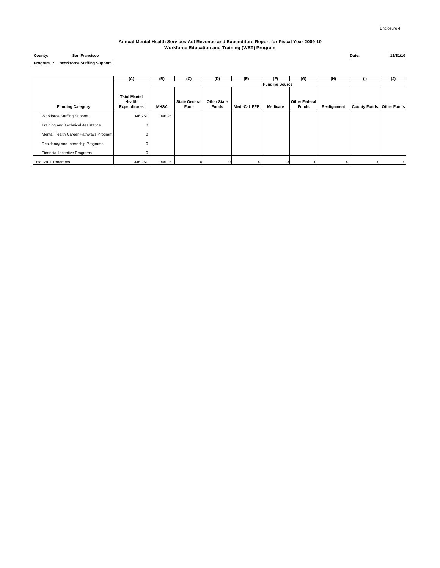| County:    | <b>San Francisco</b>              |
|------------|-----------------------------------|
| Program 1: | <b>Workforce Staffing Support</b> |

|                                        | (A)                                                  | (B)         | (C)                          | (D)                                | (E)          | (F)                   | (G)                                  | (H)         | $\omega$                        | (J)      |
|----------------------------------------|------------------------------------------------------|-------------|------------------------------|------------------------------------|--------------|-----------------------|--------------------------------------|-------------|---------------------------------|----------|
|                                        |                                                      |             |                              |                                    |              | <b>Funding Source</b> |                                      |             |                                 |          |
| <b>Funding Category</b>                | <b>Total Mental</b><br>Health<br><b>Expenditures</b> | <b>MHSA</b> | <b>State General</b><br>Fund | <b>Other State</b><br><b>Funds</b> | Medi-Cal FFP | Medicare              | <b>Other Federal</b><br><b>Funds</b> | Realignment | <b>County Funds Other Funds</b> |          |
| <b>Workforce Staffing Support</b>      | 346,251                                              | 346,251     |                              |                                    |              |                       |                                      |             |                                 |          |
| Training and Technical Assistance      |                                                      |             |                              |                                    |              |                       |                                      |             |                                 |          |
| Mental Health Career Pathways Programs |                                                      |             |                              |                                    |              |                       |                                      |             |                                 |          |
| Residency and Internship Programs      |                                                      |             |                              |                                    |              |                       |                                      |             |                                 |          |
| <b>Financial Incentive Programs</b>    |                                                      |             |                              |                                    |              |                       |                                      |             |                                 |          |
| <b>Total WET Programs</b>              | 346,251                                              | 346,251     |                              |                                    |              |                       |                                      |             |                                 | $\Omega$ |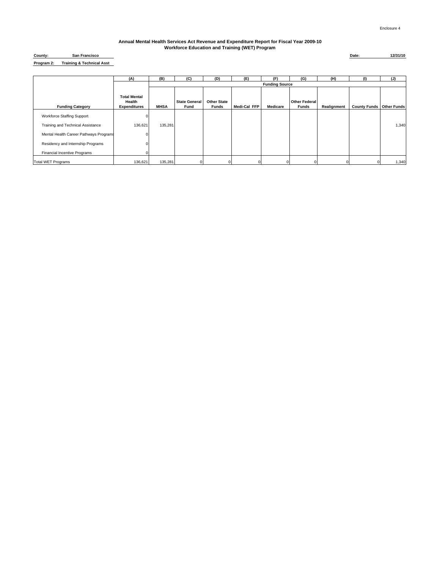| County:    | <b>San Francisco</b>                 |
|------------|--------------------------------------|
| Program 2: | <b>Training &amp; Technical Asst</b> |

|                                        | (A)                                                  | (B)         | (C)                          | (D)                                | (E)          | (F)                   | (G)                                  | (H)         | (1)                             | (J)   |
|----------------------------------------|------------------------------------------------------|-------------|------------------------------|------------------------------------|--------------|-----------------------|--------------------------------------|-------------|---------------------------------|-------|
|                                        |                                                      |             |                              |                                    |              | <b>Funding Source</b> |                                      |             |                                 |       |
| <b>Funding Category</b>                | <b>Total Mental</b><br>Health<br><b>Expenditures</b> | <b>MHSA</b> | <b>State General</b><br>Fund | <b>Other State</b><br><b>Funds</b> | Medi-Cal FFP | Medicare              | <b>Other Federal</b><br><b>Funds</b> | Realignment | <b>County Funds Other Funds</b> |       |
| <b>Workforce Staffing Support</b>      |                                                      |             |                              |                                    |              |                       |                                      |             |                                 |       |
| Training and Technical Assistance      | 136,621                                              | 135,281     |                              |                                    |              |                       |                                      |             |                                 | 1,340 |
| Mental Health Career Pathways Programs |                                                      |             |                              |                                    |              |                       |                                      |             |                                 |       |
| Residency and Internship Programs      |                                                      |             |                              |                                    |              |                       |                                      |             |                                 |       |
| <b>Financial Incentive Programs</b>    |                                                      |             |                              |                                    |              |                       |                                      |             |                                 |       |
| <b>Total WET Programs</b>              | 136,621                                              | 135,281     |                              |                                    |              |                       |                                      |             |                                 | 1,340 |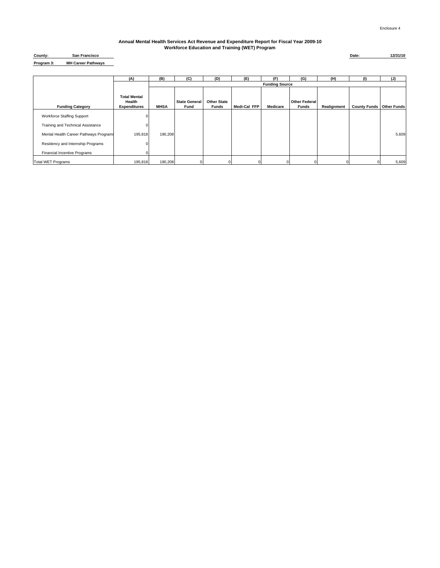| County:    | San Francisco             |
|------------|---------------------------|
| Program 3: | <b>MH Career Pathways</b> |

|                                        | (A)                                                  | (B)         | (C)                          | (D)                                | (E)          | (F)                   | (G)                                  | (H)         | (1)                             | (J)   |
|----------------------------------------|------------------------------------------------------|-------------|------------------------------|------------------------------------|--------------|-----------------------|--------------------------------------|-------------|---------------------------------|-------|
|                                        |                                                      |             |                              |                                    |              | <b>Funding Source</b> |                                      |             |                                 |       |
| <b>Funding Category</b>                | <b>Total Mental</b><br>Health<br><b>Expenditures</b> | <b>MHSA</b> | <b>State General</b><br>Fund | <b>Other State</b><br><b>Funds</b> | Medi-Cal FFP | Medicare              | <b>Other Federal</b><br><b>Funds</b> | Realignment | <b>County Funds Other Funds</b> |       |
| <b>Workforce Staffing Support</b>      |                                                      |             |                              |                                    |              |                       |                                      |             |                                 |       |
| Training and Technical Assistance      |                                                      |             |                              |                                    |              |                       |                                      |             |                                 |       |
| Mental Health Career Pathways Programs | 195,818                                              | 190,208     |                              |                                    |              |                       |                                      |             |                                 | 5,609 |
| Residency and Internship Programs      |                                                      |             |                              |                                    |              |                       |                                      |             |                                 |       |
| Financial Incentive Programs           | n                                                    |             |                              |                                    |              |                       |                                      |             |                                 |       |
| <b>Total WET Programs</b>              | 195,818                                              | 190,208     |                              |                                    |              |                       |                                      |             |                                 | 5,609 |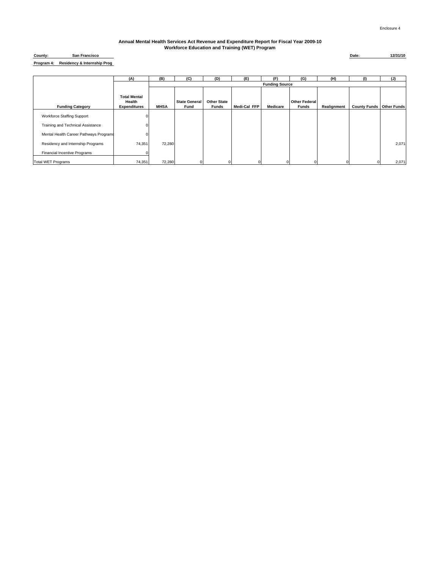#### **Residency & Internship Prog Program 4: County:**

**San Francisco Date: 12/31/10**

**(A) (B) (C) (D) (E) (F) (G) (H) (I) (J) MHSA State General Fund Other State Funds Medi-Cal FFP Medicare Other Federa**<br>**Funds Realignment County Funds Other Funds** Workforce Staffing Support Training and Technical Assistance **Department** CO Mental Health Career Pathways Program Residency and Internship Programs 74,351 72,280 72,280 2,071 2,071 2,071 2,071 2,071 2,071 2,071 2,071 2,071 2,071 2,071 2,071 2,071 2,071 2,071 2,071 2,071 2,071 2,071 2,071 2,071 2,071 2,071 2,071 2,071 2,071 2,071 2,071 Financial Incentive Programs Total WET Programs 74,351 72,280 0 0 0 0 0 0 0 2,071 **Funding Source Funding Category Total Mental Health Expenditures**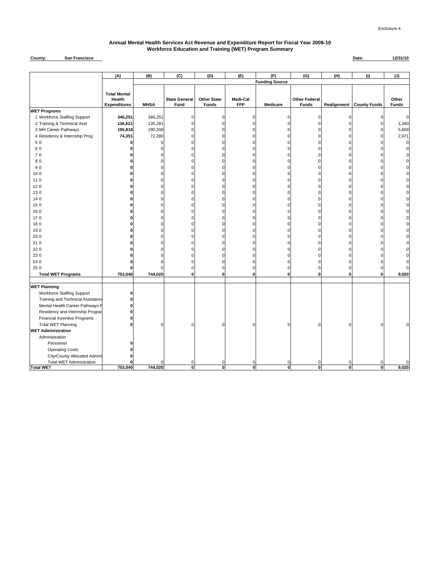#### **County: Date: 12/31/10 San Francisco**

|                                     | (A)                 | (B)         | (C)                  | (D)                | (E)            | (F)                   | (G)                  | (H)          | (1)                               | (J)          |
|-------------------------------------|---------------------|-------------|----------------------|--------------------|----------------|-----------------------|----------------------|--------------|-----------------------------------|--------------|
|                                     |                     |             |                      |                    |                | <b>Funding Source</b> |                      |              |                                   |              |
|                                     | <b>Total Mental</b> |             |                      |                    |                |                       |                      |              |                                   |              |
|                                     | Health              |             | <b>State General</b> | <b>Other State</b> | Medi-Cal       |                       | <b>Other Federal</b> |              |                                   | Other        |
|                                     | <b>Expenditures</b> | <b>MHSA</b> | Fund                 | <b>Funds</b>       | <b>FFP</b>     | Medicare              | <b>Funds</b>         |              | <b>Realignment   County Funds</b> | <b>Funds</b> |
| <b>WET Programs</b>                 |                     |             |                      |                    |                |                       |                      |              |                                   |              |
| 1 Workforce Staffing Support        | 346,251             | 346,251     | 0                    | 0                  | 0              | O                     | 0                    | $\mathbf 0$  | $\epsilon$                        | $\mathbf 0$  |
| 2 Training & Technical Asst         | 136,621             | 135,281     | $\Omega$             | O                  | 0              |                       | $\Omega$             | $\Omega$     |                                   | 1,340        |
| 3 MH Career Pathways                | 195,818             | 190,208     | $\Omega$             | O                  | 0              |                       | $\Omega$             | $\Omega$     |                                   | 5,609        |
| 4 Residency & Internship Prog       | 74,351              | 72,280      | 0                    |                    | 0              |                       | 0                    | $\Omega$     |                                   | 2,071        |
| 50                                  | ŋ                   |             | $\Omega$             | $\Omega$           | 0              |                       | U                    | $\Omega$     |                                   | $\mathbf 0$  |
| 60                                  | 0                   | U           | 0                    | 0                  | 0              |                       | O                    | $\Omega$     |                                   |              |
| 70                                  | U                   | C           | $\Omega$             | $\Omega$           | $\mathbf 0$    |                       | Ò                    | $\Omega$     |                                   | U            |
| 80                                  | o                   | U           | $\Omega$             | $\Omega$           | $\mathbf 0$    |                       | $\Omega$             | 0            |                                   |              |
| 90                                  | o                   | U           | $\Omega$             | O                  | 0              |                       | 0                    | $\Omega$     |                                   |              |
| 100                                 | o                   | U           | $\Omega$             | O                  | 0              |                       | $\Omega$             | $\Omega$     |                                   |              |
| 11 0                                | O                   | U           | $\Omega$             | $\Omega$           | 0              |                       | 0                    | $\Omega$     |                                   |              |
| 120                                 | O                   | n           | 0                    | $\Omega$           | $\mathbf 0$    |                       | 0                    | $\Omega$     |                                   |              |
| 130                                 | O                   |             | O                    | $\Omega$           | $\mathbf 0$    |                       | 0                    | $\Omega$     |                                   |              |
| 14 0                                | o                   | U           | 0                    | 0                  | $\mathbf 0$    |                       | U                    | O            |                                   |              |
| 150                                 | U                   | U           | $\Omega$             | $\Omega$           | $\mathbf 0$    |                       | 0                    | U            |                                   |              |
| 160                                 | O                   | U           | 0                    | $\Omega$           | $\mathbf 0$    |                       | $\Omega$             | $\Omega$     |                                   |              |
| 170                                 | O                   | U           | 0                    | O                  | $\pmb{0}$      |                       | 0                    | $\Omega$     |                                   |              |
| 180                                 | n                   | n           | $\Omega$             | $\Omega$           | $\Omega$       |                       | O                    | $\Omega$     |                                   |              |
| 190                                 | O                   | $\Omega$    | 0                    | $\Omega$           | 0              |                       | $\Omega$             | $\Omega$     | C                                 |              |
| 20 0                                | U                   | n           | $\Omega$             | $\Omega$           | $\mathbf 0$    |                       | U                    | $\Omega$     |                                   |              |
| 210                                 | O                   |             | 0                    | 0                  | $\mathbf 0$    |                       | 0                    | $\Omega$     |                                   |              |
| 220                                 |                     |             | 0                    | O                  | 0              |                       |                      | C            |                                   |              |
| 230                                 | ŋ                   |             | $\Omega$             | O                  | $\Omega$       |                       | n                    | U            |                                   |              |
| 24 0                                | o                   | n           | 0                    | 0                  | 0              |                       | U                    | U            |                                   | C            |
| 25 0                                | o                   | n           | 0                    | 0                  | $\mathbf 0$    | r                     | $\Omega$             | $\Omega$     |                                   | $\mathbf 0$  |
| <b>Total WET Programs</b>           | 753,040             | 744,020     | $\bf{0}$             | $\bf{0}$           | $\mathbf{0}$   | O                     | 0                    | $\bf{0}$     | $\mathbf 0$                       | 9,020        |
|                                     |                     |             |                      |                    |                |                       |                      |              |                                   |              |
| <b>WET Planning</b>                 |                     |             |                      |                    |                |                       |                      |              |                                   |              |
| <b>Workforce Staffing Support</b>   | 0                   |             |                      |                    |                |                       |                      |              |                                   |              |
| Training and Technical Assistance   | 0                   |             |                      |                    |                |                       |                      |              |                                   |              |
| Mental Health Career Pathways P     | 0                   |             |                      |                    |                |                       |                      |              |                                   |              |
| Residency and Internship Prograr    | O                   |             |                      |                    |                |                       |                      |              |                                   |              |
| <b>Financial Incentive Programs</b> | 0                   |             |                      |                    |                |                       |                      |              |                                   |              |
| <b>Total WET Planning</b>           | O                   | $\Omega$    | $\Omega$             | U                  | 0              |                       | n                    | O            |                                   |              |
| <b>WET Administration</b>           |                     |             |                      |                    |                |                       |                      |              |                                   |              |
| Administration                      |                     |             |                      |                    |                |                       |                      |              |                                   |              |
| Personnel                           |                     |             |                      |                    |                |                       |                      |              |                                   |              |
| <b>Operating Costs</b>              | n                   |             |                      |                    |                |                       |                      |              |                                   |              |
| City/County Allocated Admini        | O                   |             |                      |                    |                |                       |                      |              |                                   |              |
| <b>Total WET Administration</b>     | ŋ                   |             | $\Omega$             | U                  | $\Omega$       | n                     | n                    | U            |                                   | 0            |
| <b>Total WET</b>                    | 753,040             | 744,020     | $\bullet$            | 0                  | $\overline{0}$ | 0                     | 0                    | $\mathbf{0}$ | $\mathbf{0}$                      | 9,020        |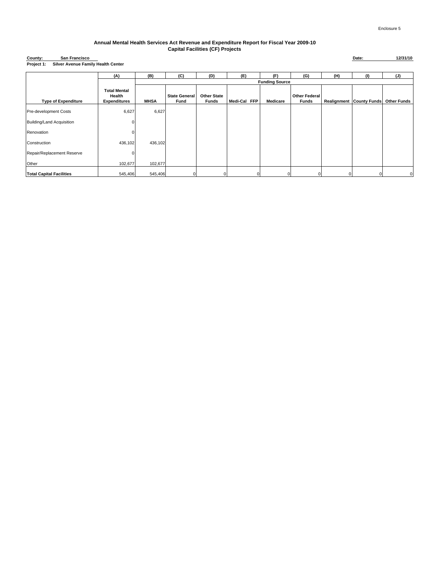#### **Annual Mental Health Services Act Revenue and Expenditure Report for Fiscal Year 2009-10 Capital Facilities (CF) Projects**

#### **Silver Avenue Family Health Center County: Project 1:**

|                                 | (A)                                                  | (B)         | (C)                          | (D)                         | (E)          | (F)                   | (G)                                  | (H) | (1)                             | (J)                |
|---------------------------------|------------------------------------------------------|-------------|------------------------------|-----------------------------|--------------|-----------------------|--------------------------------------|-----|---------------------------------|--------------------|
|                                 |                                                      |             |                              |                             |              | <b>Funding Source</b> |                                      |     |                                 |                    |
| <b>Type of Expenditure</b>      | <b>Total Mental</b><br>Health<br><b>Expenditures</b> | <b>MHSA</b> | <b>State General</b><br>Fund | <b>Other State</b><br>Funds | Medi-Cal FFP | Medicare              | <b>Other Federal</b><br><b>Funds</b> |     | <b>Realignment County Funds</b> | <b>Other Funds</b> |
| Pre-development Costs           | 6,627                                                | 6,627       |                              |                             |              |                       |                                      |     |                                 |                    |
| Building/Land Acquisition       |                                                      |             |                              |                             |              |                       |                                      |     |                                 |                    |
| Renovation                      |                                                      |             |                              |                             |              |                       |                                      |     |                                 |                    |
| Construction                    | 436,102                                              | 436,102     |                              |                             |              |                       |                                      |     |                                 |                    |
| Repair/Replacement Reserve      |                                                      |             |                              |                             |              |                       |                                      |     |                                 |                    |
| Other                           | 102,677                                              | 102,677     |                              |                             |              |                       |                                      |     |                                 |                    |
| <b>Total Capital Facilities</b> | 545,406                                              | 545,406     | 0                            |                             |              |                       |                                      |     |                                 | $\mathbf 0$        |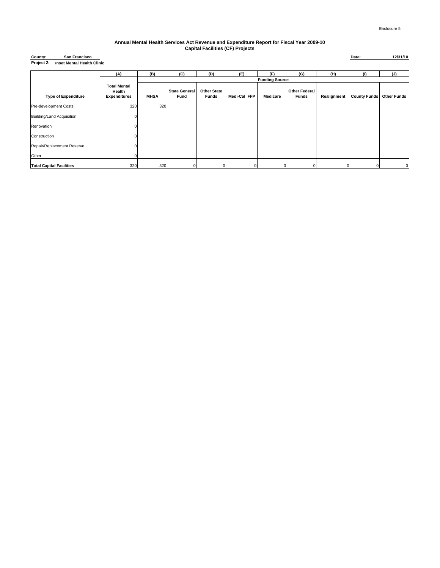#### **Annual Mental Health Services Act Revenue and Expenditure Report for Fiscal Year 2009-10 Capital Facilities (CF) Projects**

| County:    | <b>San Francisco</b>              |
|------------|-----------------------------------|
| Project 2: | <b>Inset Mental Health Clinic</b> |

|                                 | (A)                 | (B)         | (C)                  | (D)                | (E)          | (F)                   | (G)                  | (H)         | (1)                 | (J)                |
|---------------------------------|---------------------|-------------|----------------------|--------------------|--------------|-----------------------|----------------------|-------------|---------------------|--------------------|
|                                 |                     |             |                      |                    |              | <b>Funding Source</b> |                      |             |                     |                    |
|                                 | <b>Total Mental</b> |             |                      |                    |              |                       |                      |             |                     |                    |
|                                 | Health              | <b>MHSA</b> | <b>State General</b> | <b>Other State</b> |              |                       | <b>Other Federal</b> |             |                     |                    |
| <b>Type of Expenditure</b>      | <b>Expenditures</b> |             | Fund                 | Funds              | Medi-Cal FFP | Medicare              | Funds                | Realignment | <b>County Funds</b> | <b>Other Funds</b> |
| Pre-development Costs           | 320                 | 320         |                      |                    |              |                       |                      |             |                     |                    |
| Building/Land Acquisition       | O                   |             |                      |                    |              |                       |                      |             |                     |                    |
| Renovation                      |                     |             |                      |                    |              |                       |                      |             |                     |                    |
| Construction                    |                     |             |                      |                    |              |                       |                      |             |                     |                    |
| Repair/Replacement Reserve      |                     |             |                      |                    |              |                       |                      |             |                     |                    |
| Other                           |                     |             |                      |                    |              |                       |                      |             |                     |                    |
| <b>Total Capital Facilities</b> | 320                 | 320         |                      |                    |              | O                     |                      |             |                     | $\Omega$           |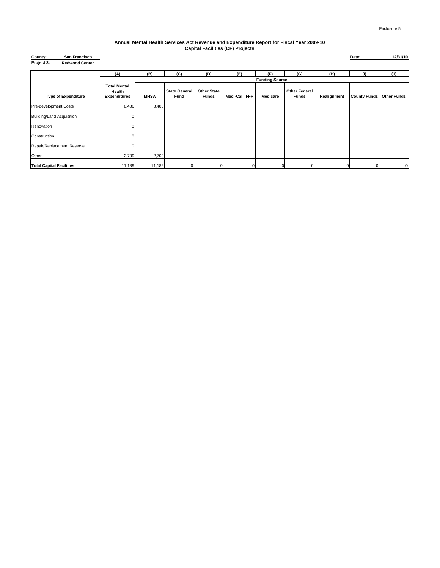#### **Annual Mental Health Services Act Revenue and Expenditure Report for Fiscal Year 2009-10 Capital Facilities (CF) Projects**

| County:<br>San Francisco            |                                                      |             |                              |                             |                        |                       |                               |             | Date:               | 12/31/10           |
|-------------------------------------|------------------------------------------------------|-------------|------------------------------|-----------------------------|------------------------|-----------------------|-------------------------------|-------------|---------------------|--------------------|
| Project 3:<br><b>Redwood Center</b> |                                                      |             |                              |                             |                        |                       |                               |             |                     |                    |
|                                     | (A)                                                  | (B)         | (C)                          | (D)                         | (E)                    | (F)                   | (G)                           | (H)         | (1)                 | (J)                |
|                                     |                                                      |             |                              |                             |                        | <b>Funding Source</b> |                               |             |                     |                    |
| <b>Type of Expenditure</b>          | <b>Total Mental</b><br>Health<br><b>Expenditures</b> | <b>MHSA</b> | <b>State General</b><br>Fund | <b>Other State</b><br>Funds | Medi-Cal<br><b>FFP</b> | Medicare              | <b>Other Federal</b><br>Funds | Realignment | <b>County Funds</b> | <b>Other Funds</b> |
| Pre-development Costs               | 8,480                                                | 8,480       |                              |                             |                        |                       |                               |             |                     |                    |
| Building/Land Acquisition           | n                                                    |             |                              |                             |                        |                       |                               |             |                     |                    |
| Renovation                          | $\Omega$                                             |             |                              |                             |                        |                       |                               |             |                     |                    |
| Construction                        | n                                                    |             |                              |                             |                        |                       |                               |             |                     |                    |
| Repair/Replacement Reserve          | 0Ι                                                   |             |                              |                             |                        |                       |                               |             |                     |                    |
| Other                               | 2,709                                                | 2,709       |                              |                             |                        |                       |                               |             |                     |                    |
| <b>Total Capital Facilities</b>     | 11,189                                               | 11,189      | 01                           | 0                           | $\overline{0}$         |                       | $\mathbf 0$                   | 0           | 0                   | 0                  |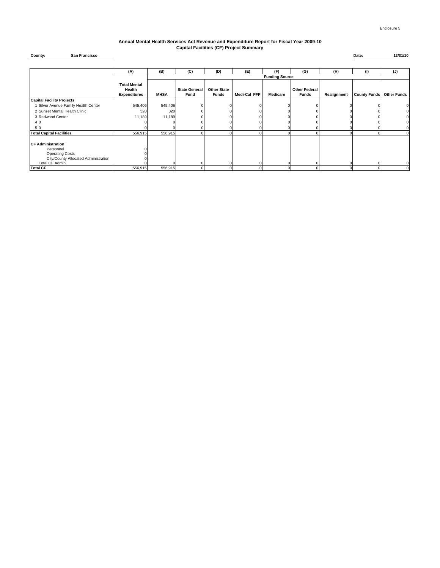#### **Annual Mental Health Services Act Revenue and Expenditure Report for Fiscal Year 2009-10 Capital Facilities (CF) Project Summary**

**County: San Francisco Date: 12/31/10**

|                                                                                                                            | (A)                                                  | (B)         | (C)                          | (D)                         | (E)          | (F)                   | (G)                                  | (H)         | (1)                             | (J)         |
|----------------------------------------------------------------------------------------------------------------------------|------------------------------------------------------|-------------|------------------------------|-----------------------------|--------------|-----------------------|--------------------------------------|-------------|---------------------------------|-------------|
|                                                                                                                            |                                                      |             |                              |                             |              | <b>Funding Source</b> |                                      |             |                                 |             |
|                                                                                                                            | <b>Total Mental</b><br>Health<br><b>Expenditures</b> | <b>MHSA</b> | <b>State General</b><br>Fund | <b>Other State</b><br>Funds | Medi-Cal FFP | Medicare              | <b>Other Federal</b><br><b>Funds</b> | Realignment | <b>County Funds</b> Other Funds |             |
| <b>Capital Facility Projects</b>                                                                                           |                                                      |             |                              |                             |              |                       |                                      |             |                                 |             |
| Silver Avenue Family Health Center                                                                                         | 545,406                                              | 545,406     |                              |                             |              |                       |                                      |             |                                 |             |
| 2 Sunset Mental Health Clinic                                                                                              | 320                                                  | 320         |                              |                             |              |                       |                                      |             |                                 | 0           |
| 3 Redwood Center                                                                                                           | 11,189                                               | 11,189      |                              |                             |              |                       |                                      |             |                                 | 0           |
| 40                                                                                                                         |                                                      |             |                              |                             |              |                       |                                      |             |                                 | 0           |
| 50                                                                                                                         |                                                      |             |                              |                             |              |                       |                                      |             |                                 | 0           |
| <b>Total Capital Facilities</b>                                                                                            | 556,915                                              | 556,915     |                              |                             |              |                       |                                      |             |                                 | $\mathbf 0$ |
| <b>CF Administration</b><br>Personnel<br><b>Operating Costs</b><br>City/County Allocated Administration<br>Total CF Admin. |                                                      |             |                              |                             |              |                       |                                      |             |                                 | $\mathbf 0$ |
| <b>Total CF</b>                                                                                                            | 556,915                                              | 556,915     |                              |                             |              |                       |                                      |             |                                 | 0           |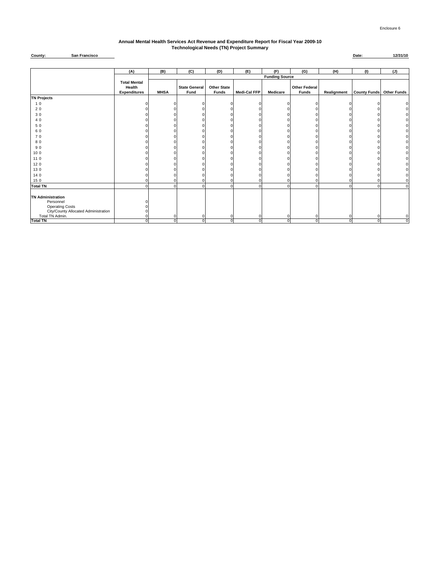#### **Annual Mental Health Services Act Revenue and Expenditure Report for Fiscal Year 2009-10 Technological Needs (TN) Project Summary**

#### **County: San Francisco Date: 12/31/10**

|                                      | (A)                           | (B)         | (C)                  | (D)                  | (E)                 | (F)                   | (G)                  | (H)         | (1)                             | (J)              |
|--------------------------------------|-------------------------------|-------------|----------------------|----------------------|---------------------|-----------------------|----------------------|-------------|---------------------------------|------------------|
|                                      |                               |             |                      |                      |                     | <b>Funding Source</b> |                      |             |                                 |                  |
|                                      | <b>Total Mental</b><br>Health |             | <b>State General</b> | <b>Other State</b>   |                     |                       | <b>Other Federal</b> |             |                                 |                  |
|                                      | <b>Expenditures</b>           | <b>MHSA</b> | Fund                 | Funds                | <b>Medi-Cal FFP</b> | <b>Medicare</b>       | <b>Funds</b>         | Realignment | <b>County Funds Other Funds</b> |                  |
| <b>TN Projects</b>                   |                               |             |                      |                      |                     |                       |                      |             |                                 |                  |
| 10                                   |                               |             |                      | n                    |                     |                       |                      |             |                                 | $\mathbf 0$      |
| 20                                   |                               |             |                      |                      |                     |                       |                      |             |                                 | $\mathbf 0$      |
| 30                                   |                               |             |                      |                      |                     |                       |                      |             |                                 | $\mathbf 0$      |
| 40                                   |                               |             |                      |                      |                     |                       |                      |             |                                 | $\mathbf 0$      |
| 50                                   |                               |             |                      |                      |                     |                       |                      |             |                                 | $\mathbf 0$      |
| 60                                   |                               |             |                      |                      |                     |                       |                      |             |                                 | $\pmb{0}$        |
| 70                                   |                               |             |                      |                      |                     |                       |                      |             |                                 | $\mathbf 0$      |
| 80                                   |                               |             |                      |                      |                     |                       |                      |             |                                 | $\mathbf 0$      |
| 90                                   |                               |             |                      |                      |                     |                       |                      |             |                                 | $\pmb{0}$        |
| 10 0                                 |                               |             |                      |                      |                     |                       |                      |             |                                 | $\mathbf 0$      |
| 11 0                                 |                               |             |                      |                      |                     |                       |                      |             |                                 | 0                |
| 12 0                                 |                               |             |                      |                      |                     |                       |                      |             |                                 | $\mathbf 0$      |
| 130                                  |                               |             |                      |                      |                     |                       |                      |             |                                 | $\mathbf 0$      |
| 14 0                                 |                               |             |                      |                      |                     |                       |                      |             |                                 | $\pmb{0}$        |
| 15 0                                 |                               |             |                      |                      |                     |                       |                      |             |                                 | $\mathbf 0$      |
| <b>Total TN</b>                      |                               |             | $\Omega$             | $\Omega$             | $\Omega$            |                       |                      | $\Omega$    |                                 | $\mathbf 0$      |
|                                      |                               |             |                      |                      |                     |                       |                      |             |                                 |                  |
| <b>TN Administration</b>             |                               |             |                      |                      |                     |                       |                      |             |                                 |                  |
| Personnel                            |                               |             |                      |                      |                     |                       |                      |             |                                 |                  |
| <b>Operating Costs</b>               |                               |             |                      |                      |                     |                       |                      |             |                                 |                  |
| City/County Allocated Administration |                               |             |                      |                      |                     |                       |                      |             |                                 |                  |
| Total TN Admin.<br><b>Total TN</b>   |                               |             |                      | $\Omega$<br>$\Omega$ |                     | $\Omega$              | $\Omega$             | $\Omega$    | O                               | $\mathbf 0$<br>ō |
|                                      |                               | 0           | 0                    |                      | $\Omega$            |                       |                      |             |                                 |                  |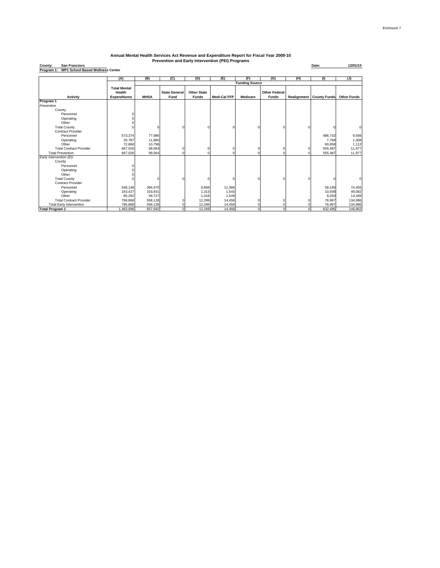| County:<br><b>San Francisco</b>                       |                     |             |                      |                    |                     |                       |                      |             | Date:               | 12/01/10           |
|-------------------------------------------------------|---------------------|-------------|----------------------|--------------------|---------------------|-----------------------|----------------------|-------------|---------------------|--------------------|
| <b>WP1 School Based Wellness Center</b><br>Program 1: |                     |             |                      |                    |                     |                       |                      |             |                     |                    |
|                                                       |                     |             |                      |                    |                     |                       |                      |             |                     |                    |
|                                                       | (A)                 | (B)         | (C)                  | (D)                | (E)                 | (F)                   | (G)                  | (H)         | (1)                 | (J)                |
|                                                       |                     |             |                      |                    |                     | <b>Funding Source</b> |                      |             |                     |                    |
|                                                       | <b>Total Mental</b> |             |                      |                    |                     |                       |                      |             |                     |                    |
|                                                       | Health              |             | <b>State General</b> | <b>Other State</b> |                     |                       | <b>Other Federal</b> |             |                     |                    |
| <b>Activity</b>                                       | <b>Expenditures</b> | <b>MHSA</b> | Fund                 | <b>Funds</b>       | <b>Medi-Cal FFP</b> | <b>Medicare</b>       | <b>Funds</b>         | Realignment | <b>County Funds</b> | <b>Other Funds</b> |
| Program 1                                             |                     |             |                      |                    |                     |                       |                      |             |                     |                    |
| Prevention                                            |                     |             |                      |                    |                     |                       |                      |             |                     |                    |
| County                                                |                     |             |                      |                    |                     |                       |                      |             |                     |                    |
| Personnel                                             |                     |             |                      |                    |                     |                       |                      |             |                     |                    |
| Operating                                             |                     |             |                      |                    |                     |                       |                      |             |                     |                    |
| Other                                                 |                     |             |                      |                    |                     |                       |                      |             |                     |                    |
| <b>Total County</b>                                   |                     |             |                      |                    |                     |                       |                      |             |                     | $\mathbf 0$        |
| <b>Contract Provider</b>                              |                     |             |                      |                    |                     |                       |                      |             |                     |                    |
| Personnel                                             | 573,374             | 77,086      |                      |                    |                     |                       |                      |             | 486,732             | 9,556              |
| Operating                                             | 20,787              | 11,680      |                      |                    |                     |                       |                      |             | 7,798               | 1,308              |
| Other                                                 | 72,868              | 10,798      |                      |                    |                     |                       |                      |             | 60,958              | 1,112              |
| <b>Total Contract Provider</b>                        | 667,028             | 99,564      |                      |                    | 0                   |                       |                      |             | 555,487             | 11,977             |
| <b>Total Prevention</b>                               | 667.028             | 99,564      |                      |                    |                     |                       |                      |             | 555,487             | 11,977             |
| Early Intervention (EI)                               |                     |             |                      |                    |                     |                       |                      |             |                     |                    |
| County                                                |                     |             |                      |                    |                     |                       |                      |             |                     |                    |
| Personnel                                             |                     |             |                      |                    |                     |                       |                      |             |                     |                    |
| Operating                                             |                     |             |                      |                    |                     |                       |                      |             |                     |                    |
| Other                                                 |                     |             |                      |                    |                     |                       |                      |             |                     |                    |
| <b>Total County</b>                                   |                     |             |                      |                    |                     |                       | $\Omega$             |             |                     | $\Omega$           |
| <b>Contract Provider</b>                              |                     |             |                      |                    |                     |                       |                      |             |                     |                    |
| Personnel                                             | 548,148             | 394,470     |                      | 9,668              | 11,366              |                       |                      |             | 58,189              | 74,455             |
| Operating                                             | 163,427             | 103,931     |                      | 1,313              | 1,543               |                       |                      |             | 10,558              | 46,082             |
| Other                                                 | 85,292              | 59,727      |                      | 1,318              | 1,549               |                       |                      |             | 8,250               | 14,449             |
| <b>Total Contract Provider</b>                        | 796,868             | 558.128     |                      | 12,299             | 14,458              |                       |                      |             | 76,997              | 134,986            |
| <b>Total Early Intervention</b>                       | 796,868             | 558,128     |                      | 12,299             | 14,458              |                       |                      |             | 76,997              | 134,986            |
| <b>Total Program 1</b>                                | 1,463,896           | 657.692     |                      | 12.299             | 14,458              |                       | $\Omega$             |             | 632,485             | 146,962            |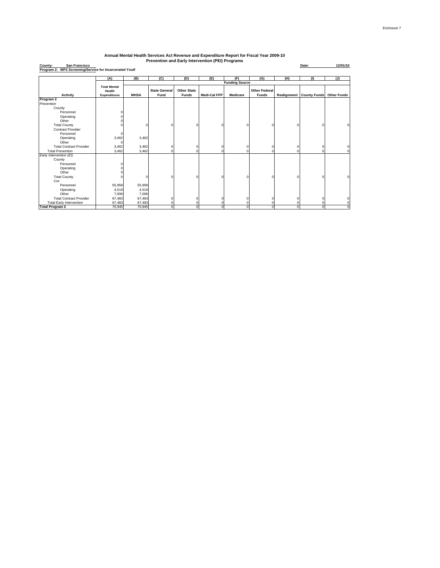| San Francisco<br>County:                                |                     |             |                      |                    | Frevention and Early Intervention (FEI) Frograms |                       |                      |             | Date:               | 12/01/10           |
|---------------------------------------------------------|---------------------|-------------|----------------------|--------------------|--------------------------------------------------|-----------------------|----------------------|-------------|---------------------|--------------------|
| Program 2: WP2 Screening/Service for Incarcerated Youth |                     |             |                      |                    |                                                  |                       |                      |             |                     |                    |
|                                                         |                     |             |                      |                    |                                                  |                       |                      |             |                     |                    |
|                                                         | (A)                 | (B)         | (C)                  | (D)                | (E)                                              | (F)                   | (G)                  | (H)         | (1)                 | (1)                |
|                                                         | <b>Total Mental</b> |             |                      |                    |                                                  | <b>Funding Source</b> |                      |             |                     |                    |
|                                                         | Health              |             | <b>State General</b> | <b>Other State</b> |                                                  |                       | <b>Other Federal</b> |             |                     |                    |
| Activity                                                | <b>Expenditures</b> | <b>MHSA</b> | Fund                 | <b>Funds</b>       | <b>Medi-Cal FFP</b>                              | <b>Medicare</b>       | <b>Funds</b>         | Realignment | <b>County Funds</b> | <b>Other Funds</b> |
| Program 2                                               |                     |             |                      |                    |                                                  |                       |                      |             |                     |                    |
| Prevention                                              |                     |             |                      |                    |                                                  |                       |                      |             |                     |                    |
| County                                                  |                     |             |                      |                    |                                                  |                       |                      |             |                     |                    |
| Personnel                                               |                     |             |                      |                    |                                                  |                       |                      |             |                     |                    |
| Operating                                               |                     |             |                      |                    |                                                  |                       |                      |             |                     |                    |
| Other                                                   |                     |             |                      |                    |                                                  |                       |                      |             |                     |                    |
| <b>Total County</b>                                     |                     | n           |                      | $\Omega$           | O                                                |                       | ſ                    |             | ſ                   |                    |
| <b>Contract Provider</b>                                |                     |             |                      |                    |                                                  |                       |                      |             |                     |                    |
| Personnel                                               |                     |             |                      |                    |                                                  |                       |                      |             |                     |                    |
| Operating                                               | 3,462               | 3,462       |                      |                    |                                                  |                       |                      |             |                     |                    |
| Other                                                   |                     |             |                      |                    |                                                  |                       |                      |             |                     |                    |
| <b>Total Contract Provider</b>                          | 3,462               | 3,462       |                      | $\Omega$           |                                                  |                       | ſ                    |             | ſ                   |                    |
| <b>Total Prevention</b>                                 | 3,462               | 3,462       |                      | $\Omega$           |                                                  |                       |                      |             |                     |                    |
| Early Intervention (EI)                                 |                     |             |                      |                    |                                                  |                       |                      |             |                     |                    |
| County                                                  |                     |             |                      |                    |                                                  |                       |                      |             |                     |                    |
| Personnel                                               |                     |             |                      |                    |                                                  |                       |                      |             |                     |                    |
| Operating                                               |                     |             |                      |                    |                                                  |                       |                      |             |                     |                    |
| Other                                                   |                     |             |                      |                    |                                                  |                       |                      |             |                     |                    |
| <b>Total County</b>                                     |                     | n           |                      | $\Omega$           |                                                  |                       | Ċ                    |             | C                   |                    |
| Con                                                     |                     |             |                      |                    |                                                  |                       |                      |             |                     |                    |
| Personnel                                               | 55,958              | 55,958      |                      |                    |                                                  |                       |                      |             |                     |                    |
| Operating                                               | 4,519               | 4,519       |                      |                    |                                                  |                       |                      |             |                     |                    |
| Other                                                   | 7,006               | 7,006       |                      |                    |                                                  |                       |                      |             |                     |                    |
| <b>Total Contract Provider</b>                          | 67,483              | 67,483      |                      | $\Omega$           |                                                  |                       | ٢                    |             | ٢                   |                    |
| <b>Total Early Intervention</b>                         | 67,483              | 67,483      |                      |                    |                                                  |                       |                      |             |                     |                    |
| <b>Total Program 2</b>                                  | 70,945              | 70,945      |                      | $\Omega$           |                                                  |                       | Ċ                    | $\Omega$    | C                   |                    |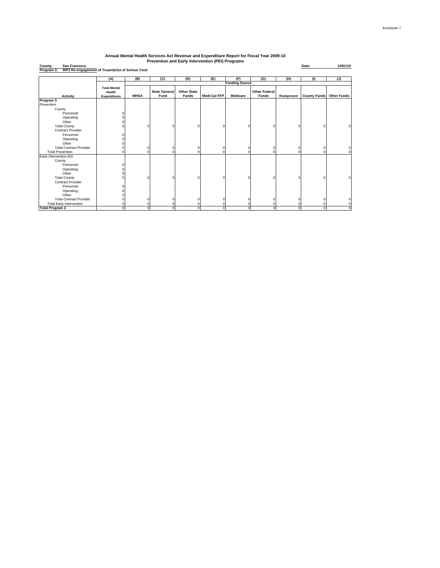| San Francisco<br>County:<br>Program <sub>3:</sub><br>WP3 Re-engagement of Truant&Out of School Youti |                                                      |             |                              |                                    |                     |                       |                                      |             | Date:               | 12/01/10           |
|------------------------------------------------------------------------------------------------------|------------------------------------------------------|-------------|------------------------------|------------------------------------|---------------------|-----------------------|--------------------------------------|-------------|---------------------|--------------------|
|                                                                                                      | (A)                                                  | (B)         | (C)                          | (D)                                | (E)                 | (F)                   | (G)                                  | (H)         | (1)                 | (J)                |
|                                                                                                      |                                                      |             |                              |                                    |                     | <b>Funding Source</b> |                                      |             |                     |                    |
| Activity                                                                                             | <b>Total Mental</b><br>Health<br><b>Expenditures</b> | <b>MHSA</b> | <b>State General</b><br>Fund | <b>Other State</b><br><b>Funds</b> | <b>Medi-Cal FFP</b> | <b>Medicare</b>       | <b>Other Federal</b><br><b>Funds</b> | Realignment | <b>County Funds</b> | <b>Other Funds</b> |
| Program 3                                                                                            |                                                      |             |                              |                                    |                     |                       |                                      |             |                     |                    |
| Prevention                                                                                           |                                                      |             |                              |                                    |                     |                       |                                      |             |                     |                    |
| County<br>Personnel<br>Operating<br>Other                                                            |                                                      |             |                              |                                    |                     |                       |                                      |             |                     |                    |
| <b>Total County</b>                                                                                  |                                                      |             |                              |                                    |                     | $\Omega$              |                                      | C           | $\Omega$            |                    |
| <b>Contract Provider</b>                                                                             |                                                      |             |                              |                                    |                     |                       |                                      |             |                     |                    |
| Personnel                                                                                            |                                                      |             |                              |                                    |                     |                       |                                      |             |                     |                    |
| Operating                                                                                            |                                                      |             |                              |                                    |                     |                       |                                      |             |                     |                    |
| Other                                                                                                |                                                      |             |                              |                                    |                     |                       |                                      |             |                     |                    |
| <b>Total Contract Provider</b>                                                                       |                                                      |             | n                            | n                                  |                     | $\Omega$              |                                      | C           | 0                   |                    |
| <b>Total Prevention</b>                                                                              |                                                      |             | n                            | $\Omega$                           |                     | $\Omega$              |                                      | r           | $\Omega$            |                    |
| Early Intervention (EI)<br>County<br>Personnel                                                       |                                                      |             |                              |                                    |                     |                       |                                      |             |                     |                    |
|                                                                                                      |                                                      |             |                              |                                    |                     |                       |                                      |             |                     |                    |
| Operating<br>Other                                                                                   |                                                      |             |                              |                                    |                     |                       |                                      |             |                     |                    |
| <b>Total County</b>                                                                                  |                                                      |             |                              |                                    |                     | $\Omega$              |                                      | C           | $\Omega$            |                    |
| <b>Contract Provider</b>                                                                             |                                                      |             |                              |                                    |                     |                       |                                      |             |                     |                    |
| Personnel                                                                                            |                                                      |             |                              |                                    |                     |                       |                                      |             |                     |                    |
| Operating                                                                                            |                                                      |             |                              |                                    |                     |                       |                                      |             |                     |                    |
| Other                                                                                                |                                                      |             |                              |                                    |                     |                       |                                      |             |                     |                    |
| <b>Total Contract Provider</b>                                                                       |                                                      |             |                              |                                    |                     |                       |                                      |             | $\Omega$            |                    |
| <b>Total Early Intervention</b>                                                                      |                                                      |             |                              |                                    |                     |                       |                                      |             | $\Omega$            |                    |
| <b>Total Program 3</b>                                                                               |                                                      |             |                              |                                    |                     | $\Omega$              |                                      | C           | $\Omega$            |                    |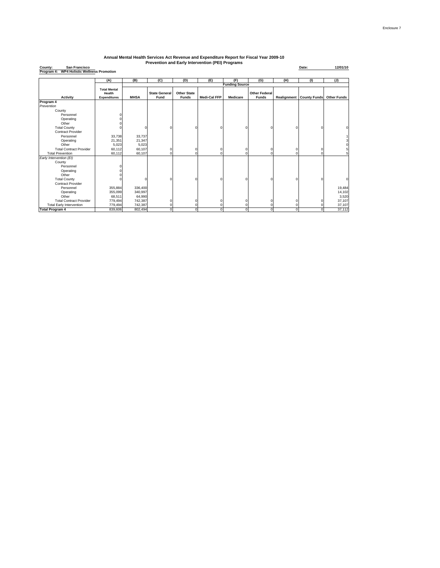**County: Date: 12/01/10 Program 4: WP4 Holistic Wellness Promotion San Francisco**

|                                 | (A)                                                  | (B)         | (C)                          | (D)                         | (E)                 | (F)                   | (G)                                  | (H)         | (1)                 | (J)                |
|---------------------------------|------------------------------------------------------|-------------|------------------------------|-----------------------------|---------------------|-----------------------|--------------------------------------|-------------|---------------------|--------------------|
|                                 |                                                      |             |                              |                             |                     | <b>Funding Source</b> |                                      |             |                     |                    |
| <b>Activity</b>                 | <b>Total Mental</b><br>Health<br><b>Expenditures</b> | <b>MHSA</b> | <b>State General</b><br>Fund | Other State<br><b>Funds</b> | <b>Medi-Cal FFP</b> | <b>Medicare</b>       | <b>Other Federal</b><br><b>Funds</b> | Realignment | <b>County Funds</b> | <b>Other Funds</b> |
| Program 4                       |                                                      |             |                              |                             |                     |                       |                                      |             |                     |                    |
| Prevention                      |                                                      |             |                              |                             |                     |                       |                                      |             |                     |                    |
| County                          |                                                      |             |                              |                             |                     |                       |                                      |             |                     |                    |
| Personnel                       |                                                      |             |                              |                             |                     |                       |                                      |             |                     |                    |
| Operating                       |                                                      |             |                              |                             |                     |                       |                                      |             |                     |                    |
| Other                           |                                                      |             |                              |                             |                     |                       |                                      |             |                     |                    |
| <b>Total County</b>             |                                                      |             |                              |                             |                     |                       | n                                    | $\Omega$    | C                   | $\Omega$           |
| Contract Provider               |                                                      |             |                              |                             |                     |                       |                                      |             |                     |                    |
| Personnel                       | 33,738                                               | 33,737      |                              |                             |                     |                       |                                      |             |                     |                    |
| Operating                       | 21,351                                               | 21,347      |                              |                             |                     |                       |                                      |             |                     | 3                  |
| Other                           | 5,023                                                | 5,023       |                              |                             |                     |                       |                                      |             |                     | $\Omega$           |
| <b>Total Contract Provider</b>  | 60,112                                               | 60,107      |                              |                             |                     | $\Omega$              | 0                                    | $\Omega$    | C                   | 5                  |
| <b>Total Prevention</b>         | 60,112                                               | 60,107      |                              |                             |                     | $\Omega$              | $\Omega$                             | $\Omega$    | C                   | 51                 |
| Early Intervention (EI)         |                                                      |             |                              |                             |                     |                       |                                      |             |                     |                    |
| County                          |                                                      |             |                              |                             |                     |                       |                                      |             |                     |                    |
| Personnel                       |                                                      |             |                              |                             |                     |                       |                                      |             |                     |                    |
| Operating                       |                                                      |             |                              |                             |                     |                       |                                      |             |                     |                    |
| Other                           |                                                      |             |                              |                             |                     |                       |                                      |             |                     |                    |
| <b>Total County</b>             |                                                      |             |                              |                             |                     |                       | $\Omega$                             | $\Omega$    | $\mathcal{C}$       | $\mathbf 0$        |
| <b>Contract Provider</b>        |                                                      |             |                              |                             |                     |                       |                                      |             |                     |                    |
| Personnel                       | 355,884                                              | 336,400     |                              |                             |                     |                       |                                      |             |                     | 19,484             |
| Operating                       | 355,099                                              | 340,997     |                              |                             |                     |                       |                                      |             |                     | 14,102             |
| Other                           | 68,511                                               | 64,990      |                              |                             |                     |                       |                                      |             |                     | 3,520              |
| <b>Total Contract Provider</b>  | 779,494                                              | 742,387     |                              |                             |                     |                       | 0                                    | $\Omega$    | C                   | 37,107             |
| <b>Total Early Intervention</b> | 779,494                                              | 742,387     |                              |                             |                     | $\Omega$              | $\Omega$                             | 0           | C                   | 37,107             |
| <b>Total Program 4</b>          | 839,606                                              | 802,494     |                              |                             | o                   | $\Omega$              | 0                                    | $\mathbf 0$ | $\mathbf 0$         | 37,112             |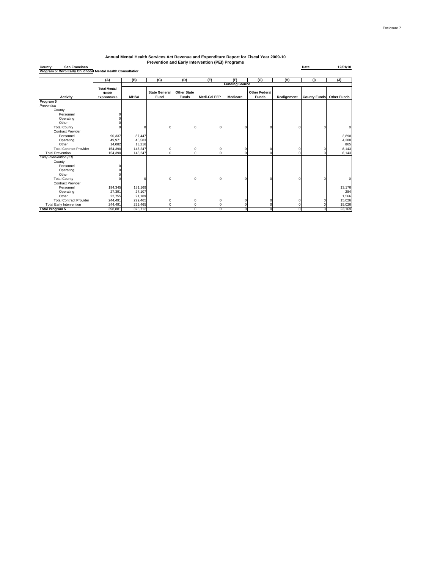**County: Date: 12/01/10 Program 5: WP5 Early Childhood Mental Health Consultation San Francisco**

|                                 | (A)                           | (B)         | (C)                  | (D)                | (E)                 | (F)                   | (G)                  | (H)         | (1)                 | (J)                |
|---------------------------------|-------------------------------|-------------|----------------------|--------------------|---------------------|-----------------------|----------------------|-------------|---------------------|--------------------|
|                                 |                               |             |                      |                    |                     | <b>Funding Source</b> |                      |             |                     |                    |
|                                 | <b>Total Mental</b><br>Health |             | <b>State General</b> | <b>Other State</b> |                     |                       | <b>Other Federal</b> |             |                     |                    |
| Activity                        | <b>Expenditures</b>           | <b>MHSA</b> | Fund                 | <b>Funds</b>       | <b>Medi-Cal FFP</b> | <b>Medicare</b>       | <b>Funds</b>         | Realignment | <b>County Funds</b> | <b>Other Funds</b> |
| Program 5                       |                               |             |                      |                    |                     |                       |                      |             |                     |                    |
| Prevention                      |                               |             |                      |                    |                     |                       |                      |             |                     |                    |
| County                          |                               |             |                      |                    |                     |                       |                      |             |                     |                    |
| Personnel                       |                               |             |                      |                    |                     |                       |                      |             |                     |                    |
| Operating                       |                               |             |                      |                    |                     |                       |                      |             |                     |                    |
| Other                           |                               |             |                      |                    |                     |                       |                      |             |                     |                    |
| <b>Total County</b>             |                               | c           | C                    | $\Omega$           | C                   | r                     | $\Omega$             |             |                     |                    |
| <b>Contract Provider</b>        |                               |             |                      |                    |                     |                       |                      |             |                     |                    |
| Personnel                       |                               |             |                      |                    |                     |                       |                      |             |                     |                    |
|                                 | 90,337                        | 87,447      |                      |                    |                     |                       |                      |             |                     | 2,890              |
| Operating                       | 49,971                        | 45,583      |                      |                    |                     |                       |                      |             |                     | 4,388              |
| Other                           | 14,082                        | 13,216      |                      |                    |                     |                       |                      |             |                     | 865                |
| <b>Total Contract Provider</b>  | 154,390                       | 146,247     | $\Omega$             | $\Omega$           | $\Omega$            | $\Omega$              | $\mathbf 0$          |             |                     | 8,143              |
| <b>Total Prevention</b>         | 154,390                       | 146.247     | C                    | $\Omega$           | $\Omega$            | n                     | $\Omega$             |             |                     | 8,143              |
| Early Intervention (EI)         |                               |             |                      |                    |                     |                       |                      |             |                     |                    |
| County                          |                               |             |                      |                    |                     |                       |                      |             |                     |                    |
| Personnel                       |                               |             |                      |                    |                     |                       |                      |             |                     |                    |
| Operating                       |                               |             |                      |                    |                     |                       |                      |             |                     |                    |
| Other                           |                               |             |                      |                    |                     |                       |                      |             |                     |                    |
| <b>Total County</b>             |                               |             | n                    | $\Omega$           | C                   |                       | $\Omega$             |             |                     |                    |
| Contract Provider               |                               |             |                      |                    |                     |                       |                      |             |                     |                    |
| Personnel                       | 194,345                       | 181,169     |                      |                    |                     |                       |                      |             |                     | 13,176             |
| Operating                       | 27,391                        | 27,107      |                      |                    |                     |                       |                      |             |                     | 284                |
| Other                           | 22,755                        | 21,189      |                      |                    |                     |                       |                      |             |                     | 1,566              |
| <b>Total Contract Provider</b>  | 244,491                       | 229,465     |                      | $\Omega$           | $\Omega$            |                       | $\Omega$             |             |                     | 15,026             |
| <b>Total Early Intervention</b> | 244,491                       | 229,465     |                      | $\Omega$           | $\Omega$            |                       | $\Omega$             |             |                     | 15,026             |
| <b>Total Program 5</b>          | 398.881                       | 375,712     | $\Omega$             | $\Omega$           | $\Omega$            | $\Omega$              | $\Omega$             |             | n                   | 23,169             |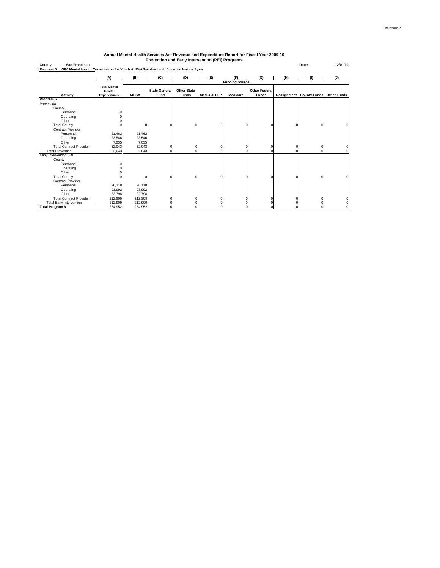| County:<br><b>San Francisco</b>                                                                  |                               |             |                      |                    |                     |                       |                      |             | Date:               | 12/01/10           |
|--------------------------------------------------------------------------------------------------|-------------------------------|-------------|----------------------|--------------------|---------------------|-----------------------|----------------------|-------------|---------------------|--------------------|
| Program 6: WP6 Mental Health Consultation for Youth At Risk/Involved with Juvenile Justice Syste |                               |             |                      |                    |                     |                       |                      |             |                     |                    |
|                                                                                                  |                               |             |                      |                    |                     |                       |                      |             |                     |                    |
|                                                                                                  | (A)                           | (B)         | (C)                  | (D)                | (E)                 | (F)                   | (G)                  | (H)         | (1)                 | (1)                |
|                                                                                                  |                               |             |                      |                    |                     | <b>Funding Source</b> |                      |             |                     |                    |
|                                                                                                  | <b>Total Mental</b>           |             | <b>State General</b> | <b>Other State</b> |                     |                       | <b>Other Federal</b> |             |                     |                    |
| <b>Activity</b>                                                                                  | Health<br><b>Expenditures</b> | <b>MHSA</b> | Fund                 | <b>Funds</b>       | <b>Medi-Cal FFP</b> | <b>Medicare</b>       | <b>Funds</b>         | Realignment | <b>County Funds</b> | <b>Other Funds</b> |
|                                                                                                  |                               |             |                      |                    |                     |                       |                      |             |                     |                    |
| Program 6<br>Prevention                                                                          |                               |             |                      |                    |                     |                       |                      |             |                     |                    |
| County                                                                                           |                               |             |                      |                    |                     |                       |                      |             |                     |                    |
| Personnel                                                                                        |                               |             |                      |                    |                     |                       |                      |             |                     |                    |
| Operating                                                                                        |                               |             |                      |                    |                     |                       |                      |             |                     |                    |
| Other                                                                                            |                               |             |                      |                    |                     |                       |                      |             |                     |                    |
| <b>Total County</b>                                                                              |                               |             | $\Omega$             |                    |                     |                       |                      |             |                     |                    |
| <b>Contract Provider</b>                                                                         |                               |             |                      |                    |                     |                       |                      |             |                     |                    |
| Personnel                                                                                        | 21,462                        | 21,462      |                      |                    |                     |                       |                      |             |                     |                    |
| Operating                                                                                        | 23,546                        | 23,546      |                      |                    |                     |                       |                      |             |                     |                    |
| Other                                                                                            | 7,035                         | 7,035       |                      |                    |                     |                       |                      |             |                     |                    |
| <b>Total Contract Provider</b>                                                                   | 52,043                        | 52,043      | $\Omega$             |                    |                     |                       |                      | $\Omega$    |                     |                    |
| <b>Total Prevention</b>                                                                          | 52,043                        | 52,043      | $\Omega$             |                    |                     |                       |                      |             | n                   |                    |
| Early Intervention (EI)                                                                          |                               |             |                      |                    |                     |                       |                      |             |                     |                    |
| County                                                                                           |                               |             |                      |                    |                     |                       |                      |             |                     |                    |
| Personnel                                                                                        |                               |             |                      |                    |                     |                       |                      |             |                     |                    |
| Operating                                                                                        |                               |             |                      |                    |                     |                       |                      |             |                     |                    |
| Other                                                                                            |                               |             |                      |                    |                     |                       |                      |             |                     |                    |
| <b>Total County</b>                                                                              |                               |             | $\Omega$             |                    |                     | n                     |                      | $\Omega$    |                     | $\Omega$           |
| <b>Contract Provider</b>                                                                         |                               |             |                      |                    |                     |                       |                      |             |                     |                    |
| Personnel                                                                                        | 96,118                        | 96,118      |                      |                    |                     |                       |                      |             |                     |                    |
| Operating                                                                                        | 93,992                        | 93,992      |                      |                    |                     |                       |                      |             |                     |                    |
| Other                                                                                            | 22,798                        | 22,798      |                      |                    |                     |                       |                      |             |                     |                    |
| <b>Total Contract Provider</b>                                                                   | 212,909                       | 212,909     |                      |                    |                     |                       |                      |             |                     |                    |
| <b>Total Early Intervention</b>                                                                  | 212,909                       | 212,909     |                      |                    |                     |                       |                      |             |                     |                    |
| <b>Total Program 6</b>                                                                           | 264,952                       | 264,952     | $\Omega$             | O                  | n                   | $\Omega$              | n                    | $\Omega$    | $\Omega$            |                    |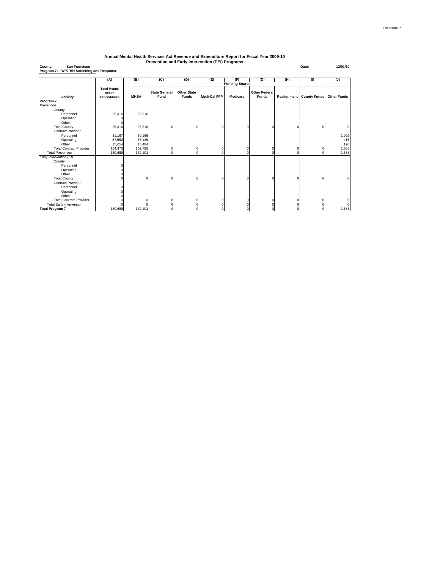**County: Date: 12/01/10 Program 7: WP7 BH Screening and Response San Francisco**

|                                 | (A)                 | (B)         | (C)                  | (D)                | (E)                 | (F)                   | (G)                  | (H)         | (1)                             | (J)                |
|---------------------------------|---------------------|-------------|----------------------|--------------------|---------------------|-----------------------|----------------------|-------------|---------------------------------|--------------------|
|                                 |                     |             |                      |                    |                     | <b>Funding Source</b> |                      |             |                                 |                    |
|                                 | <b>Total Mental</b> |             |                      |                    |                     |                       |                      |             |                                 |                    |
|                                 | Health              |             | <b>State General</b> | <b>Other State</b> |                     |                       | <b>Other Federal</b> |             |                                 |                    |
| <b>Activity</b>                 | <b>Expenditures</b> | <b>MHSA</b> | Fund                 | <b>Funds</b>       | <b>Medi-Cal FFP</b> | Medicare              | <b>Funds</b>         |             | <b>Realignment County Funds</b> | <b>Other Funds</b> |
| Program 7                       |                     |             |                      |                    |                     |                       |                      |             |                                 |                    |
| Prevention                      |                     |             |                      |                    |                     |                       |                      |             |                                 |                    |
| County                          |                     |             |                      |                    |                     |                       |                      |             |                                 |                    |
| Personnel                       | 26,316              | 26,316      |                      |                    |                     |                       |                      |             |                                 |                    |
| Operating                       |                     |             |                      |                    |                     |                       |                      |             |                                 |                    |
| Other                           |                     |             |                      |                    |                     |                       |                      |             |                                 |                    |
| <b>Total County</b>             | 26,316              | 26,316      |                      | $\Omega$           |                     |                       |                      | O           | O                               |                    |
| <b>Contract Provider</b>        |                     |             |                      |                    |                     |                       |                      |             |                                 |                    |
| Personnel                       | 81,167              | 80,166      |                      |                    |                     |                       |                      |             |                                 | 1,002              |
| Operating                       | 57,552              | 57,136      |                      |                    |                     |                       |                      |             |                                 | 416                |
| Other                           | 15,654              | 15,484      |                      |                    |                     |                       |                      |             |                                 | 170                |
| <b>Total Contract Provider</b>  | 154,373             | 152,785     |                      | $\mathbf 0$        | ŋ                   | O                     |                      | $\mathbf 0$ | 0                               | 1,588              |
| <b>Total Prevention</b>         | 180,689             | 179,101     |                      | n                  |                     | n                     |                      | $\Omega$    | $\Omega$                        | 1,588              |
| Early Intervention (EI)         |                     |             |                      |                    |                     |                       |                      |             |                                 |                    |
| County                          |                     |             |                      |                    |                     |                       |                      |             |                                 |                    |
| Personnel                       |                     |             |                      |                    |                     |                       |                      |             |                                 |                    |
| Operating                       |                     |             |                      |                    |                     |                       |                      |             |                                 |                    |
| Other                           |                     |             |                      |                    |                     |                       |                      |             |                                 |                    |
| <b>Total County</b>             |                     |             |                      | $\Omega$           |                     |                       |                      | n           | O                               |                    |
| <b>Contract Provider</b>        |                     |             |                      |                    |                     |                       |                      |             |                                 |                    |
| Personnel                       |                     |             |                      |                    |                     |                       |                      |             |                                 |                    |
| Operating                       |                     |             |                      |                    |                     |                       |                      |             |                                 |                    |
| Other                           |                     |             |                      |                    |                     |                       |                      |             |                                 |                    |
| <b>Total Contract Provider</b>  |                     |             |                      | n                  |                     |                       |                      | 0           | $\Omega$                        |                    |
| <b>Total Early Intervention</b> |                     |             |                      |                    |                     |                       |                      | 0           | $\Omega$                        |                    |
| <b>Total Program 7</b>          | 180,689             | 179,101     |                      | O.                 |                     | $\Omega$              | Ō                    | $\Omega$    | $\mathbf 0$                     | 1,588              |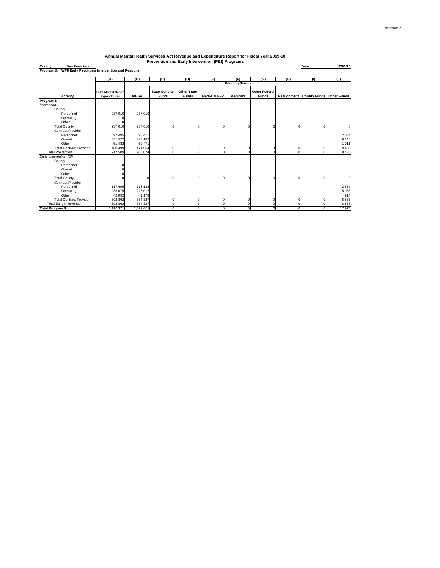**County: Date: 12/01/10 Program 8: WP8 Early Psychosis Intervention and Response San Francisco**

|                                 | (A)                        | (B)         | (C)                  | (D)                | (E)                 | (F)                   | (G)                  | (H)      | (1)                             | (J)                |
|---------------------------------|----------------------------|-------------|----------------------|--------------------|---------------------|-----------------------|----------------------|----------|---------------------------------|--------------------|
|                                 |                            |             |                      |                    |                     | <b>Funding Source</b> |                      |          |                                 |                    |
|                                 |                            |             |                      |                    |                     |                       |                      |          |                                 |                    |
|                                 | <b>Total Mental Health</b> |             | <b>State General</b> | <b>Other State</b> |                     |                       | <b>Other Federal</b> |          |                                 |                    |
| <b>Activity</b>                 | <b>Expenditures</b>        | <b>MHSA</b> | Fund                 | <b>Funds</b>       | <b>Medi-Cal FFP</b> | <b>Medicare</b>       | <b>Funds</b>         |          | <b>Realignment County Funds</b> | <b>Other Funds</b> |
| Program 8                       |                            |             |                      |                    |                     |                       |                      |          |                                 |                    |
| Prevention                      |                            |             |                      |                    |                     |                       |                      |          |                                 |                    |
| County                          |                            |             |                      |                    |                     |                       |                      |          |                                 |                    |
| Personnel                       | 237,010                    | 237,010     |                      |                    |                     |                       |                      |          |                                 |                    |
| Operating                       |                            |             |                      |                    |                     |                       |                      |          |                                 |                    |
| Other                           |                            |             |                      |                    |                     |                       |                      |          |                                 |                    |
| <b>Total County</b>             | 237,010                    | 237,010     |                      |                    | $\Omega$            | $\Omega$              | n                    | n        | $\Omega$                        | $\Omega$           |
| <b>Contract Provider</b>        |                            |             |                      |                    |                     |                       |                      |          |                                 |                    |
| Personnel                       | 97,495                     | 95,411      |                      |                    |                     |                       |                      |          |                                 | 2,084              |
| Operating                       | 331,522                    | 325,182     |                      |                    |                     |                       |                      |          |                                 | 6,340              |
| Other                           | 51,482                     | 50,471      |                      |                    |                     |                       |                      |          |                                 | 1,011              |
| <b>Total Contract Provider</b>  | 480,499                    | 471,064     | $\Omega$             | $\Omega$           | $\Omega$            | 0                     | 0                    | $\Omega$ | 0                               | 9,435              |
| <b>Total Prevention</b>         | 717,509                    | 708,074     | ŋ                    | $\Omega$           | $\Omega$            | $\Omega$              | $\Omega$             | $\Omega$ | $\Omega$                        | 9,435              |
| Early Intervention (EI)         |                            |             |                      |                    |                     |                       |                      |          |                                 |                    |
| County                          |                            |             |                      |                    |                     |                       |                      |          |                                 |                    |
| Personnel                       |                            |             |                      |                    |                     |                       |                      |          |                                 |                    |
| Operating                       |                            |             |                      |                    |                     |                       |                      |          |                                 |                    |
| Other                           |                            |             |                      |                    |                     |                       |                      |          |                                 |                    |
| <b>Total County</b>             |                            |             |                      |                    | O                   | $\Omega$              | n                    | n        | $\Omega$                        | $\Omega$           |
| Contract Provider               |                            |             |                      |                    |                     |                       |                      |          |                                 |                    |
| Personnel                       | 117,695                    | 115,138     |                      |                    |                     |                       |                      |          |                                 | 2,557              |
| Operating                       | 233,075                    | 228,012     |                      |                    |                     |                       |                      |          |                                 | 5,063              |
| Other                           | 42,092                     | 41,178      |                      |                    |                     |                       |                      |          |                                 | 914                |
| <b>Total Contract Provider</b>  | 392,862                    | 384,327     |                      | $\Omega$           |                     | 0                     | C                    |          | $^{\circ}$                      | 8,535              |
| <b>Total Early Intervention</b> | 392,862                    | 384,327     |                      | $\Omega$           | $\Omega$            | 0                     | O                    | n        | $\Omega$                        | 8,535              |
| <b>Total Program 8</b>          | 1,110,371                  | 1,092,401   | $\Omega$             | 0                  | $\mathbf 0$         | $\mathbf 0$           | O                    | $\Omega$ | $\mathbf 0$                     | 17,970             |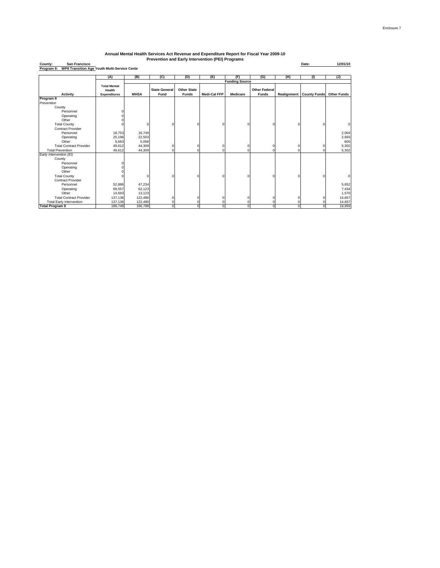| San Francisco<br>County:                                   |                                                      |             | Prevention and Early Intervention (PEI) Programs |                                    |              |                       |                                      |             | Date:               | 12/01/10           |
|------------------------------------------------------------|------------------------------------------------------|-------------|--------------------------------------------------|------------------------------------|--------------|-----------------------|--------------------------------------|-------------|---------------------|--------------------|
| WP9 Transition Age Youth Multi-Service Cente<br>Program 9: |                                                      |             |                                                  |                                    |              |                       |                                      |             |                     |                    |
|                                                            | (A)                                                  | (B)         | (C)                                              | (D)                                | (E)          | (F)                   | (G)                                  | (H)         | (1)                 | (1)                |
|                                                            |                                                      |             |                                                  |                                    |              | <b>Funding Source</b> |                                      |             |                     |                    |
| Activity                                                   | <b>Total Mental</b><br>Health<br><b>Expenditures</b> | <b>MHSA</b> | <b>State General</b><br>Fund                     | <b>Other State</b><br><b>Funds</b> | Medi-Cal FFP | <b>Medicare</b>       | <b>Other Federal</b><br><b>Funds</b> | Realignment | <b>County Funds</b> | <b>Other Funds</b> |
| Program 9                                                  |                                                      |             |                                                  |                                    |              |                       |                                      |             |                     |                    |
| Prevention                                                 |                                                      |             |                                                  |                                    |              |                       |                                      |             |                     |                    |
| County                                                     |                                                      |             |                                                  |                                    |              |                       |                                      |             |                     |                    |
| Personnel                                                  |                                                      |             |                                                  |                                    |              |                       |                                      |             |                     |                    |
| Operating                                                  |                                                      |             |                                                  |                                    |              |                       |                                      |             |                     |                    |
| Other                                                      |                                                      |             |                                                  |                                    |              |                       |                                      |             |                     |                    |
| <b>Total County</b>                                        |                                                      |             |                                                  | n                                  |              |                       |                                      | $\Omega$    |                     | $\Omega$           |
| <b>Contract Provider</b>                                   |                                                      |             |                                                  |                                    |              |                       |                                      |             |                     |                    |
| Personnel                                                  | 18,753                                               | 16,749      |                                                  |                                    |              |                       |                                      |             |                     | 2,004              |
| Operating                                                  | 25,196                                               | 22,503      |                                                  |                                    |              |                       |                                      |             |                     | 2,693              |
| Other                                                      | 5,663                                                | 5,058       |                                                  |                                    |              |                       |                                      |             |                     | 605                |
| <b>Total Contract Provider</b>                             | 49,612                                               | 44,309      |                                                  |                                    |              |                       |                                      |             |                     | 5,302              |
| <b>Total Prevention</b>                                    | 49,612                                               | 44,309      |                                                  |                                    |              |                       |                                      |             |                     | 5,302              |
| Early Intervention (EI)                                    |                                                      |             |                                                  |                                    |              |                       |                                      |             |                     |                    |
| County                                                     |                                                      |             |                                                  |                                    |              |                       |                                      |             |                     |                    |
| Personnel                                                  |                                                      |             |                                                  |                                    |              |                       |                                      |             |                     |                    |
| Operating                                                  |                                                      |             |                                                  |                                    |              |                       |                                      |             |                     |                    |
| Other                                                      |                                                      |             |                                                  |                                    |              |                       |                                      |             |                     |                    |
| <b>Total County</b>                                        |                                                      |             |                                                  |                                    |              |                       |                                      |             |                     |                    |
| <b>Contract Provider</b>                                   |                                                      |             |                                                  |                                    |              |                       |                                      |             |                     |                    |
| Personnel                                                  | 52,886                                               | 47,234      |                                                  |                                    |              |                       |                                      |             |                     | 5,652              |
| Operating                                                  | 69,557                                               | 62,123      |                                                  |                                    |              |                       |                                      |             |                     | 7,434              |
| Other                                                      | 14,693                                               | 13,123      |                                                  |                                    |              |                       |                                      |             |                     | 1,570              |
| <b>Total Contract Provider</b>                             | 137,136                                              | 122,480     |                                                  |                                    |              |                       |                                      |             |                     | 14,657             |
| <b>Total Early Intervention</b>                            | 137,136                                              | 122,480     |                                                  |                                    |              |                       |                                      |             |                     | 14,657             |
| <b>Total Program 9</b>                                     | 186,748                                              | 166,789     |                                                  |                                    |              |                       |                                      |             |                     | 19,959             |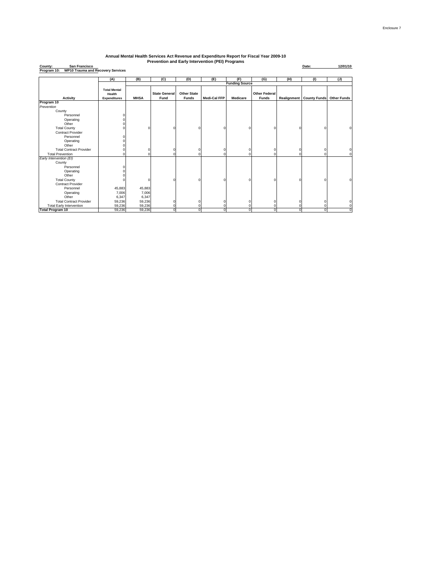**County: Date: 12/01/10 Program 10: WP10 Trauma and Recovery Services San Francisco**

|                                 | (A)                                                  | (B)         | (C)                          | (D)                         | (E)                 | (F)                   | (G)                                  | (H)         | (1)                 | (J)                |
|---------------------------------|------------------------------------------------------|-------------|------------------------------|-----------------------------|---------------------|-----------------------|--------------------------------------|-------------|---------------------|--------------------|
|                                 |                                                      |             |                              |                             |                     | <b>Funding Source</b> |                                      |             |                     |                    |
| Activity                        | <b>Total Mental</b><br>Health<br><b>Expenditures</b> | <b>MHSA</b> | <b>State General</b><br>Fund | <b>Other State</b><br>Funds | <b>Medi-Cal FFP</b> | Medicare              | <b>Other Federal</b><br><b>Funds</b> | Realignment | <b>County Funds</b> | <b>Other Funds</b> |
| Program 10                      |                                                      |             |                              |                             |                     |                       |                                      |             |                     |                    |
| Prevention                      |                                                      |             |                              |                             |                     |                       |                                      |             |                     |                    |
| County                          |                                                      |             |                              |                             |                     |                       |                                      |             |                     |                    |
| Personnel                       |                                                      |             |                              |                             |                     |                       |                                      |             |                     |                    |
| Operating                       |                                                      |             |                              |                             |                     |                       |                                      |             |                     |                    |
| Other                           |                                                      |             |                              |                             |                     |                       |                                      |             |                     |                    |
| <b>Total County</b>             |                                                      | ſ           | O                            | $\Omega$                    |                     |                       | n                                    |             | ٢                   |                    |
| <b>Contract Provider</b>        |                                                      |             |                              |                             |                     |                       |                                      |             |                     |                    |
| Personnel                       | C                                                    |             |                              |                             |                     |                       |                                      |             |                     |                    |
| Operating                       |                                                      |             |                              |                             |                     |                       |                                      |             |                     |                    |
| Other                           |                                                      |             |                              |                             |                     |                       |                                      |             |                     |                    |
| <b>Total Contract Provider</b>  |                                                      | $\Omega$    | O                            | $^{\circ}$                  | c                   | c                     | $\Omega$                             |             | C                   | C                  |
| <b>Total Prevention</b>         | O                                                    | O           | 0                            | $\mathbf 0$                 | O                   | c                     | $\Omega$                             |             | ٢                   | $\mathbf 0$        |
| Early Intervention (EI)         |                                                      |             |                              |                             |                     |                       |                                      |             |                     |                    |
| County                          |                                                      |             |                              |                             |                     |                       |                                      |             |                     |                    |
| Personnel                       |                                                      |             |                              |                             |                     |                       |                                      |             |                     |                    |
| Operating                       |                                                      |             |                              |                             |                     |                       |                                      |             |                     |                    |
| Other                           |                                                      |             |                              |                             |                     |                       |                                      |             |                     |                    |
| <b>Total County</b>             |                                                      | $\Omega$    | O                            | $\Omega$                    |                     |                       | $\Omega$                             |             | ٢                   | O                  |
| <b>Contract Provider</b>        |                                                      |             |                              |                             |                     |                       |                                      |             |                     |                    |
| Personnel                       | 45,883                                               | 45,883      |                              |                             |                     |                       |                                      |             |                     |                    |
| Operating                       | 7,006                                                | 7,006       |                              |                             |                     |                       |                                      |             |                     |                    |
| Other                           | 6,347                                                | 6,347       |                              |                             |                     |                       |                                      |             |                     |                    |
| <b>Total Contract Provider</b>  | 59,236                                               | 59,236      | $\Omega$                     | $^{\circ}$                  | O                   |                       | $\Omega$                             |             | ٢                   |                    |
| <b>Total Early Intervention</b> | 59,236                                               | 59,236      | $\Omega$                     | $\Omega$                    | O                   |                       | $\Omega$                             |             |                     | 0                  |
| <b>Total Program 10</b>         | 59,236                                               | 59,236      | $\mathbf 0$                  | $\mathbf 0$                 | $\Omega$            | $\Omega$              | $\Omega$                             | $\Omega$    | $\Omega$            | $\Omega$           |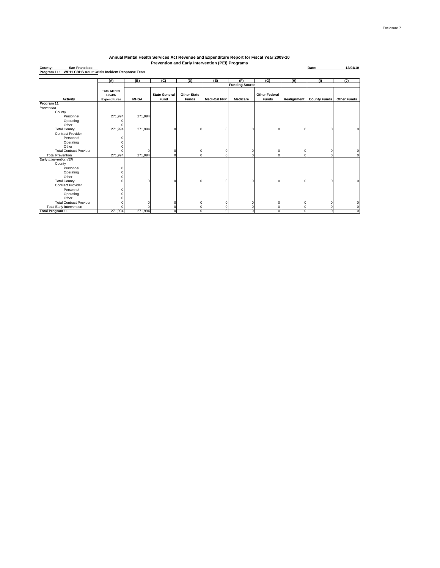**County: Date: 12/01/10 Program 11: WP11 CBHS Adult Crisis Incident Response Team San Francisco**

|                                 | (A)                           | (B)         | (C)                  | (D)                | (E)                 | (F)                   | (G)                  | (H)         | (1)                 | (1)                |
|---------------------------------|-------------------------------|-------------|----------------------|--------------------|---------------------|-----------------------|----------------------|-------------|---------------------|--------------------|
|                                 |                               |             |                      |                    |                     | <b>Funding Source</b> |                      |             |                     |                    |
|                                 | <b>Total Mental</b><br>Health |             | <b>State General</b> | <b>Other State</b> |                     |                       | <b>Other Federal</b> |             |                     |                    |
| <b>Activity</b>                 | <b>Expenditures</b>           | <b>MHSA</b> | Fund                 | <b>Funds</b>       | <b>Medi-Cal FFP</b> | <b>Medicare</b>       | <b>Funds</b>         | Realignment | <b>County Funds</b> | <b>Other Funds</b> |
| Program 11                      |                               |             |                      |                    |                     |                       |                      |             |                     |                    |
| Prevention                      |                               |             |                      |                    |                     |                       |                      |             |                     |                    |
| County                          |                               |             |                      |                    |                     |                       |                      |             |                     |                    |
| Personnel                       | 271,994                       | 271,994     |                      |                    |                     |                       |                      |             |                     |                    |
| Operating                       |                               |             |                      |                    |                     |                       |                      |             |                     |                    |
| Other                           |                               |             |                      |                    |                     |                       |                      |             |                     |                    |
| <b>Total County</b>             | 271,994                       | 271,994     |                      | $\Omega$           | $\Omega$            | $\Omega$              | $\Omega$             | $\Omega$    | O                   | $\mathbf 0$        |
| <b>Contract Provider</b>        |                               |             |                      |                    |                     |                       |                      |             |                     |                    |
| Personnel                       |                               |             |                      |                    |                     |                       |                      |             |                     |                    |
| Operating                       |                               |             |                      |                    |                     |                       |                      |             |                     |                    |
| Other                           |                               |             |                      |                    |                     |                       |                      |             |                     |                    |
| <b>Total Contract Provider</b>  |                               |             |                      | $\mathbf 0$        | $\Omega$            | $\Omega$              | $\Omega$             | 0           | $\Omega$            | $\mathbf 0$        |
| <b>Total Prevention</b>         | 271,994                       | 271,994     |                      | O                  | $\Omega$            | ŋ                     | 0                    | $\Omega$    | $\Omega$            | $\mathbf{0}$       |
| Early Intervention (EI)         |                               |             |                      |                    |                     |                       |                      |             |                     |                    |
| County                          |                               |             |                      |                    |                     |                       |                      |             |                     |                    |
| Personnel                       |                               |             |                      |                    |                     |                       |                      |             |                     |                    |
| Operating                       |                               |             |                      |                    |                     |                       |                      |             |                     |                    |
| Other                           |                               |             |                      |                    |                     |                       |                      |             |                     |                    |
| <b>Total County</b>             |                               |             |                      | c                  | $\Omega$            | n                     | n                    | $\Omega$    | ŋ                   | $\mathbf 0$        |
| <b>Contract Provider</b>        |                               |             |                      |                    |                     |                       |                      |             |                     |                    |
| Personnel                       |                               |             |                      |                    |                     |                       |                      |             |                     |                    |
| Operating                       |                               |             |                      |                    |                     |                       |                      |             |                     |                    |
| Other                           |                               |             |                      |                    |                     |                       |                      |             |                     |                    |
| <b>Total Contract Provider</b>  |                               |             |                      | $\Omega$           |                     |                       | 0                    | 0           | $\Omega$            | $\mathbf 0$        |
| <b>Total Early Intervention</b> |                               |             |                      |                    |                     |                       | n                    | $\Omega$    | ŋ                   | $\mathbf{0}$       |
| <b>Total Program 11</b>         | 271.994                       | 271.994     | $\Omega$             | $\Omega$           | $\Omega$            | $\Omega$              | 0                    | $\Omega$    | $\Omega$            | $\overline{0}$     |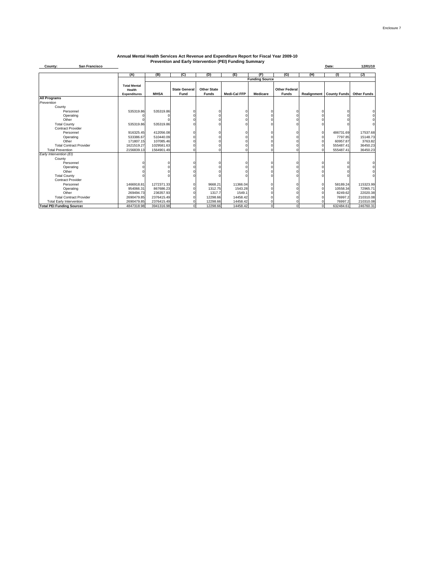| <b>San Francisco</b><br>County:  |                                                      |             |                              |                                    |                     |                       |                                      |     | Date:                                | 12/01/10       |
|----------------------------------|------------------------------------------------------|-------------|------------------------------|------------------------------------|---------------------|-----------------------|--------------------------------------|-----|--------------------------------------|----------------|
|                                  | (A)                                                  | (B)         | (C)                          | (D)                                | (E)                 | (F)                   | (G)                                  | (H) | (1)                                  | $\overline{u}$ |
|                                  |                                                      |             |                              |                                    |                     | <b>Funding Source</b> |                                      |     |                                      |                |
|                                  | <b>Total Mental</b><br>Health<br><b>Expenditures</b> | <b>MHSA</b> | <b>State General</b><br>Fund | <b>Other State</b><br><b>Funds</b> | <b>Medi-Cal FFP</b> | <b>Medicare</b>       | <b>Other Federal</b><br><b>Funds</b> |     | Realignment County Funds Other Funds |                |
| <b>All Programs</b>              |                                                      |             |                              |                                    |                     |                       |                                      |     |                                      |                |
| Prevention                       |                                                      |             |                              |                                    |                     |                       |                                      |     |                                      |                |
| County                           |                                                      |             |                              |                                    |                     |                       |                                      |     |                                      |                |
| Personnel                        | 535319.86                                            | 535319.86   |                              |                                    |                     |                       |                                      |     |                                      |                |
| Operating                        |                                                      |             |                              |                                    |                     |                       |                                      |     |                                      |                |
| Other                            |                                                      |             |                              |                                    |                     |                       |                                      |     |                                      |                |
| <b>Total County</b>              | 535319.86                                            | 535319.86   |                              |                                    |                     |                       |                                      |     |                                      |                |
| <b>Contract Provider</b>         |                                                      |             |                              |                                    |                     |                       |                                      |     |                                      |                |
| Personnel                        | 916325.45                                            | 412056.08   |                              |                                    |                     |                       |                                      |     | 486731.69                            | 17537.68       |
| Operating                        | 533386.67                                            | 510440.09   |                              |                                    |                     |                       |                                      |     | 7797.85                              | 15148.73       |
| Other                            | 171807.15                                            | 107085.46   |                              |                                    |                     |                       |                                      |     | 60957.87                             | 3763.82        |
| <b>Total Contract Provider</b>   | 1621519.27                                           | 1029581.63  |                              |                                    |                     |                       |                                      |     | 555487.41                            | 36450.23       |
| <b>Total Prevention</b>          | 2156839.13                                           | 1564901.49  |                              |                                    |                     |                       |                                      |     | 555487.41                            | 36450.23       |
| Early Intervention (EI)          |                                                      |             |                              |                                    |                     |                       |                                      |     |                                      |                |
| County                           |                                                      |             |                              |                                    |                     |                       |                                      |     |                                      |                |
| Personnel                        |                                                      |             |                              |                                    |                     |                       |                                      |     |                                      |                |
| Operating                        |                                                      |             |                              |                                    |                     |                       |                                      |     |                                      |                |
| Other                            |                                                      |             |                              |                                    |                     |                       |                                      |     |                                      |                |
| <b>Total County</b>              |                                                      |             |                              |                                    |                     |                       |                                      |     |                                      |                |
| <b>Contract Provider</b>         |                                                      |             |                              |                                    |                     |                       |                                      |     |                                      |                |
| Personnel                        | 1466918.81                                           | 1272371.33  |                              | 9668.21                            | 11366.04            |                       |                                      |     | 58189.24                             | 115323.99      |
| Operating                        | 954066.31                                            | 867686.23   |                              | 1312.75                            | 1543.28             |                       |                                      |     | 10558.34                             | 72965.71       |
| Other                            | 269494.73                                            | 236357.93   |                              | 1317.7                             | 1549.1              |                       |                                      |     | 8249.62                              | 22020.38       |
| <b>Total Contract Provider</b>   | 2690479.85                                           | 2376415.49  |                              | 12298.66                           | 14458.42            |                       |                                      |     | 76997.2                              | 210310.08      |
| <b>Total Early Intervention</b>  | 2690479.85                                           | 2376415.49  |                              | 12298.66                           | 14458.42            |                       |                                      |     | 76997.2                              | 210310.08      |
| <b>Total PEI Funding Sources</b> | 4847318.98                                           | 3941316.98  | $\Omega$                     | 12298.66                           | 14458.42            | $\Omega$              | $\Omega$                             | 0   | 632484.61                            | 246760.31      |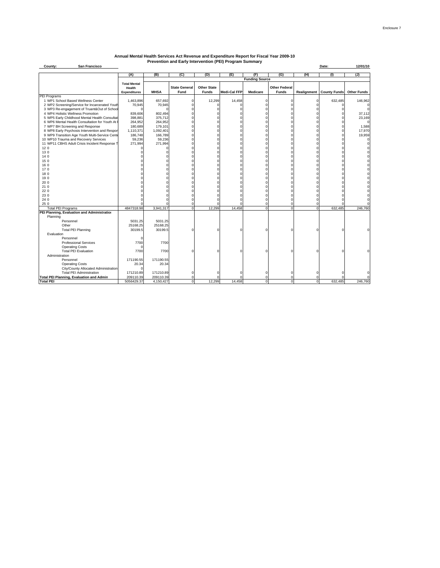| San Francisco<br>County:                                                 |                     |             |                      |                    |                     |                       |                      |             | Date:               | 12/01/10           |
|--------------------------------------------------------------------------|---------------------|-------------|----------------------|--------------------|---------------------|-----------------------|----------------------|-------------|---------------------|--------------------|
|                                                                          |                     | (B)         |                      | (D)                |                     | (F)                   | (G)                  |             |                     |                    |
|                                                                          | (A)                 |             | (C)                  |                    | (E)                 | <b>Funding Source</b> |                      | (H)         | (1)                 | (J)                |
|                                                                          | <b>Total Mental</b> |             |                      |                    |                     |                       |                      |             |                     |                    |
|                                                                          | Health              |             | <b>State General</b> | <b>Other State</b> |                     |                       | <b>Other Federal</b> |             |                     |                    |
|                                                                          | <b>Expenditures</b> | <b>MHSA</b> | Fund                 | <b>Funds</b>       | <b>Medi-Cal FFP</b> | <b>Medicare</b>       | <b>Funds</b>         | Realignment | <b>County Funds</b> | <b>Other Funds</b> |
| PEI Programs                                                             |                     |             |                      |                    |                     |                       |                      |             |                     |                    |
| 1 WP1 School Based Wellness Center                                       | 1,463,896           | 657.692     | $\Omega$             | 12,299             | 14,458              | n                     | r                    | C           | 632,485             | 146,962            |
| 2 WP2 Screening/Service for Incarcerated Youth                           | 70,945              | 70,945      |                      |                    |                     |                       |                      |             |                     | C                  |
| 3 WP3 Re-engagement of Truant&Out of Schoo                               |                     |             |                      |                    |                     |                       |                      |             |                     |                    |
| 4 WP4 Holistic Wellness Promotion                                        | 839,606             | 802,494     |                      |                    |                     |                       |                      |             |                     | 37,112             |
| 5 WP5 Early Childhood Mental Health Consultat                            | 398,881             | 375,712     |                      |                    |                     |                       |                      |             |                     | 23,169             |
| 6 WP6 Mental Health Consultation for Youth At I                          | 264,952             | 264,952     |                      |                    |                     |                       |                      |             |                     | C                  |
| 7 WP7 BH Screening and Response                                          | 180,689             | 179,101     | n                    |                    |                     |                       |                      |             |                     | 1,588              |
| 8 WP8 Early Psychosis Intervention and Respor                            | 1,110,371           | 1,092,401   | $\Omega$             |                    |                     |                       |                      |             |                     | 17,970             |
| 9 WP9 Transition Age Youth Multi-Service Cente                           | 186,748             | 166,789     | $\Omega$             |                    |                     |                       |                      |             |                     | 19,959             |
| 10 WP10 Trauma and Recovery Services                                     | 59,236              | 59,236      | $\Omega$             |                    |                     |                       |                      |             |                     |                    |
| 11 WP11 CBHS Adult Crisis Incident Response T                            | 271,994             | 271,994     | $\Omega$             |                    |                     |                       |                      |             |                     |                    |
| 12 0                                                                     |                     |             |                      |                    |                     |                       |                      |             |                     |                    |
| 130                                                                      |                     |             | $\Omega$             |                    |                     |                       |                      |             |                     |                    |
| 140                                                                      |                     |             | n                    |                    |                     |                       |                      |             |                     |                    |
| 15 0                                                                     |                     |             | $\Omega$             |                    |                     |                       |                      |             |                     |                    |
| 16 0                                                                     |                     |             |                      |                    |                     |                       |                      |             |                     |                    |
| 170                                                                      |                     |             |                      |                    |                     |                       |                      |             |                     |                    |
| 18 0                                                                     |                     |             |                      |                    |                     |                       |                      |             |                     |                    |
| 19 0                                                                     |                     |             |                      |                    |                     |                       |                      |             |                     |                    |
| 20 0                                                                     |                     |             |                      |                    |                     |                       |                      |             |                     |                    |
| 21 0                                                                     |                     |             |                      |                    |                     |                       |                      |             |                     |                    |
| 22 0                                                                     |                     |             |                      |                    |                     |                       |                      |             |                     |                    |
| 23 0                                                                     |                     |             |                      |                    |                     |                       |                      |             |                     |                    |
| 24 0                                                                     |                     |             |                      |                    |                     |                       |                      |             |                     |                    |
| 25 0                                                                     |                     |             | $\Omega$             |                    |                     |                       | $\Omega$             | ſ           |                     |                    |
| <b>Total PEI Programs</b><br>PEI Planning, Evaluation and Administration | 4847318.98          | 3,941,317   | $\mathbf 0$          | 12.299             | 14,458              | $\Omega$              |                      | $\Omega$    | 632.485             | 246,760            |
| Planning                                                                 |                     |             |                      |                    |                     |                       |                      |             |                     |                    |
| Personnel                                                                | 5031.25             | 5031.25     |                      |                    |                     |                       |                      |             |                     |                    |
| Other                                                                    | 25168.25            | 25168.25    |                      |                    |                     |                       |                      |             |                     |                    |
| <b>Total PEI Planning</b>                                                | 30199.5             | 30199.5     | $\Omega$             |                    |                     |                       |                      |             |                     |                    |
| Evaluation                                                               |                     |             |                      |                    |                     |                       |                      |             |                     |                    |
| Personnel                                                                | $\Omega$            |             |                      |                    |                     |                       |                      |             |                     |                    |
| <b>Professional Services</b>                                             | 7700                | 7700        |                      |                    |                     |                       |                      |             |                     |                    |
| <b>Operating Costs</b>                                                   |                     |             |                      |                    |                     |                       |                      |             |                     |                    |
| <b>Total PEI Evaluation</b>                                              | 7700                | 7700        | $\Omega$             |                    |                     |                       |                      | ٢           |                     |                    |
| Administration                                                           |                     |             |                      |                    |                     |                       |                      |             |                     |                    |
| Personnel                                                                | 171190.55           | 171190.55   |                      |                    |                     |                       |                      |             |                     |                    |
| <b>Operating Costs</b>                                                   | 20.34               | 20.34       |                      |                    |                     |                       |                      |             |                     |                    |
| City/County Allocated Administration                                     |                     |             |                      |                    |                     |                       |                      |             |                     |                    |
| <b>Total PEI Administration</b>                                          | 171210.89           | 171210.89   | $\Omega$             |                    |                     |                       |                      |             |                     |                    |
| <b>Total PEI Planning, Evaluation and Admin</b>                          | 209110.39           | 209110.39   | $\Omega$             |                    |                     | O                     |                      |             |                     | C                  |
| <b>Total PEI</b>                                                         | 5056429.37          | 4,150,427   | $\overline{0}$       | 12,299             | 14.458              | $\Omega$              | $\Omega$             | $\Omega$    | 632.485             | 246.760            |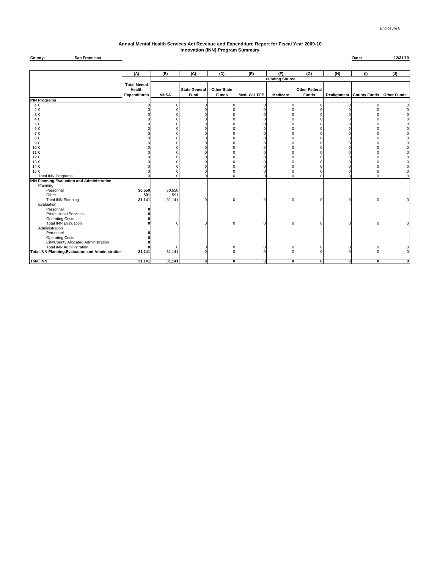#### **Annual Mental Health Services Act Revenue and Expenditure Report for Fiscal Year 2009-10 Innovation (INN) Program Summary**

**County: Date: 12/31/10 San Francisco**

|                                                          | (A)                           | (B)         | (C)                  | (D)                | (E)          | (F)                   | (G)                  | (H)          | (1)                             | (J)                |
|----------------------------------------------------------|-------------------------------|-------------|----------------------|--------------------|--------------|-----------------------|----------------------|--------------|---------------------------------|--------------------|
|                                                          |                               |             |                      |                    |              | <b>Funding Source</b> |                      |              |                                 |                    |
|                                                          | <b>Total Mental</b><br>Health |             | <b>State General</b> | <b>Other State</b> |              |                       | <b>Other Federal</b> |              |                                 |                    |
|                                                          | <b>Expenditures</b>           | <b>MHSA</b> | Fund                 | Funds              | Medi-Cal FFP | <b>Medicare</b>       | <b>Funds</b>         |              | <b>Realignment County Funds</b> | <b>Other Funds</b> |
| <b>INN Programs</b>                                      |                               |             |                      |                    |              |                       |                      |              |                                 |                    |
| 10                                                       |                               |             | 0                    | $\Omega$           |              | $\Omega$              |                      | O            |                                 |                    |
| 20                                                       |                               |             | $\Omega$             |                    |              |                       |                      |              |                                 |                    |
| 30                                                       |                               |             | n                    |                    |              |                       |                      |              |                                 |                    |
| 40                                                       |                               |             | O                    |                    |              |                       |                      |              |                                 |                    |
| 50                                                       |                               |             | $\Omega$             |                    |              |                       |                      |              |                                 |                    |
| 60                                                       |                               |             | $\Omega$             |                    |              |                       |                      |              |                                 |                    |
| 70                                                       |                               |             | $\Omega$             |                    |              |                       |                      |              |                                 |                    |
| 80                                                       |                               |             | $\Omega$             |                    |              |                       |                      |              |                                 |                    |
| 90                                                       |                               |             | $\Omega$             |                    |              |                       |                      |              |                                 |                    |
| 100                                                      |                               |             | $\Omega$             |                    |              |                       |                      |              |                                 |                    |
| 110                                                      |                               |             | O                    |                    |              |                       |                      |              |                                 |                    |
| 120                                                      |                               |             |                      |                    |              |                       |                      |              |                                 |                    |
| 13 0                                                     |                               |             | $\Omega$             |                    |              |                       |                      |              |                                 |                    |
| 14 0                                                     |                               |             | $\Omega$             | O                  |              |                       |                      |              |                                 |                    |
| 15 0                                                     |                               |             | $\mathbf 0$          | $\mathbf 0$        | $\Omega$     | C                     |                      |              |                                 |                    |
| <b>Total INN Programs</b>                                | n                             | $\Omega$    | $\mathbf 0$          | $\overline{0}$     | $\Omega$     | $\Omega$              | $\Omega$             | $\Omega$     | $\Omega$                        | $\Omega$           |
| <b>INN Planning, Evaluation and Administration</b>       |                               |             |                      |                    |              |                       |                      |              |                                 |                    |
| Planning                                                 |                               |             |                      |                    |              |                       |                      |              |                                 |                    |
| Personnel                                                | 30,550                        | 30,550      |                      |                    |              |                       |                      |              |                                 |                    |
| Other                                                    | 591                           | 591         |                      |                    |              |                       |                      |              |                                 |                    |
| <b>Total INN Planning</b>                                | 31,141                        | 31,141      | 0                    | $\Omega$           |              | $\Omega$              |                      |              |                                 |                    |
| Evaluation                                               |                               |             |                      |                    |              |                       |                      |              |                                 |                    |
| Personnel                                                |                               |             |                      |                    |              |                       |                      |              |                                 |                    |
| <b>Professional Services</b>                             |                               |             |                      |                    |              |                       |                      |              |                                 |                    |
| <b>Operating Costs</b>                                   |                               |             |                      |                    |              |                       |                      |              |                                 |                    |
| <b>Total INN Evaluation</b>                              |                               |             | $\Omega$             | $\Omega$           |              | $\Omega$              | n                    | $\Omega$     |                                 |                    |
| Administration                                           |                               |             |                      |                    |              |                       |                      |              |                                 |                    |
| Personnel                                                |                               |             |                      |                    |              |                       |                      |              |                                 |                    |
| <b>Operating Costs</b>                                   |                               |             |                      |                    |              |                       |                      |              |                                 |                    |
| City/County Allocated Administration                     |                               |             |                      |                    |              |                       |                      |              |                                 |                    |
| <b>Total INN Administration</b>                          |                               |             | 0                    | $\Omega$           | n            | C                     |                      | $\Omega$     |                                 |                    |
| <b>Total INN Planning, Evaluation and Administration</b> | 31,141                        | 31,141      | $\mathbf 0$          | $\Omega$           |              |                       |                      |              |                                 |                    |
|                                                          |                               |             |                      |                    |              |                       |                      |              |                                 |                    |
| <b>Total INN</b>                                         | 31,141                        | 31,141      | $\mathbf 0$          | ō                  | $\mathbf{0}$ | $\mathbf{0}$          | $\mathbf{0}$         | $\mathbf{0}$ | o                               | $\mathbf{0}$       |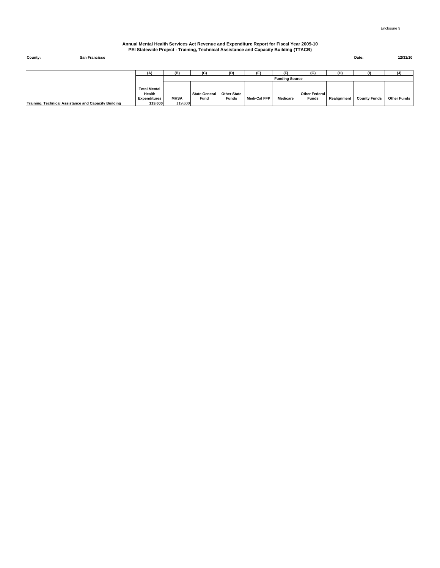#### **Annual Mental Health Services Act Revenue and Expenditure Report for Fiscal Year 2009-10 PEI Statewide Project - Training, Technical Assistance and Capacity Building (TTACB)**

| County: | San Francisco | Date: | 12/31/10 |
|---------|---------------|-------|----------|
|         |               |       |          |
|         |               |       |          |

|                                                      | (A)                 | (B)                   | (C)                  | (D)                | (E'          | (F)      | (G)                  | (H)         |                     |                    |  |
|------------------------------------------------------|---------------------|-----------------------|----------------------|--------------------|--------------|----------|----------------------|-------------|---------------------|--------------------|--|
|                                                      |                     | <b>Funding Source</b> |                      |                    |              |          |                      |             |                     |                    |  |
|                                                      |                     |                       |                      |                    |              |          |                      |             |                     |                    |  |
|                                                      | <b>Total Mental</b> |                       |                      |                    |              |          |                      |             |                     |                    |  |
|                                                      | Health              |                       | <b>State General</b> | <b>Other State</b> |              |          | <b>Other Federal</b> |             |                     |                    |  |
|                                                      | <b>Expenditures</b> | <b>MHSA</b>           | Fund                 | <b>Funds</b>       | Medi-Cal FFP | Medicare | Funds                | Realignment | <b>County Funds</b> | <b>Other Funds</b> |  |
| Training, Technical Assistance and Capacity Building | 119.600             | 119,600               |                      |                    |              |          |                      |             |                     |                    |  |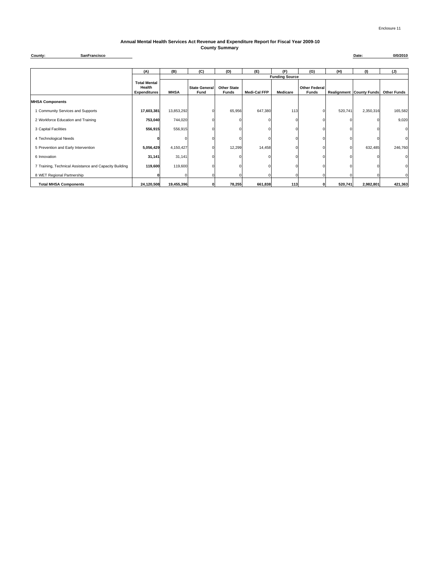#### **Annual Mental Health Services Act Revenue and Expenditure Report for Fiscal Year 2009-10 County Summary**

**County: Date: 0/0/2010 SanFrancisco**

|                                                        | (A)                                                  | (B)                   | (C)                          | (D)                                | (E)          | (F)             | (G)                           | (H)     | (1)                             | (J)                |  |  |
|--------------------------------------------------------|------------------------------------------------------|-----------------------|------------------------------|------------------------------------|--------------|-----------------|-------------------------------|---------|---------------------------------|--------------------|--|--|
|                                                        |                                                      | <b>Funding Source</b> |                              |                                    |              |                 |                               |         |                                 |                    |  |  |
|                                                        | <b>Total Mental</b><br>Health<br><b>Expenditures</b> | <b>MHSA</b>           | <b>State General</b><br>Fund | <b>Other State</b><br><b>Funds</b> | Medi-Cal FFP | <b>Medicare</b> | Other Federal<br><b>Funds</b> |         | <b>Realignment County Funds</b> | <b>Other Funds</b> |  |  |
| <b>MHSA Components</b>                                 |                                                      |                       |                              |                                    |              |                 |                               |         |                                 |                    |  |  |
| 1 Community Services and Supports                      | 17,603,381                                           | 13,853,292            |                              | 65,956                             | 647,380      | 113             |                               | 520,741 | 2,350,316                       | 165,582            |  |  |
| 2 Workforce Education and Training                     | 753,040                                              | 744,020               |                              |                                    |              |                 |                               |         |                                 | 9,020              |  |  |
| 3 Capital Facilities                                   | 556,915                                              | 556,915               |                              |                                    |              |                 |                               |         |                                 | 0                  |  |  |
| 4 Technological Needs                                  |                                                      |                       |                              |                                    |              |                 |                               |         |                                 | 0                  |  |  |
| 5 Prevention and Early Intervention                    | 5,056,429                                            | 4,150,427             |                              | 12,299                             | 14,458       |                 |                               |         | 632,485                         | 246,760            |  |  |
| 6 Innovation                                           | 31,141                                               | 31,141                |                              |                                    |              |                 |                               |         |                                 | 0                  |  |  |
| 7 Training, Technical Assistance and Capacity Building | 119,600                                              | 119,600               |                              |                                    |              |                 |                               |         |                                 | 0                  |  |  |
| 8 WET Regional Partnership                             |                                                      |                       | 0                            |                                    |              |                 |                               |         |                                 |                    |  |  |
| <b>Total MHSA Components</b>                           | 24,120,508                                           | 19,455,396            | $\mathbf{o}$                 | 78,255                             | 661,838      | 113             | 0                             | 520,741 | 2,982,801                       | 421,363            |  |  |